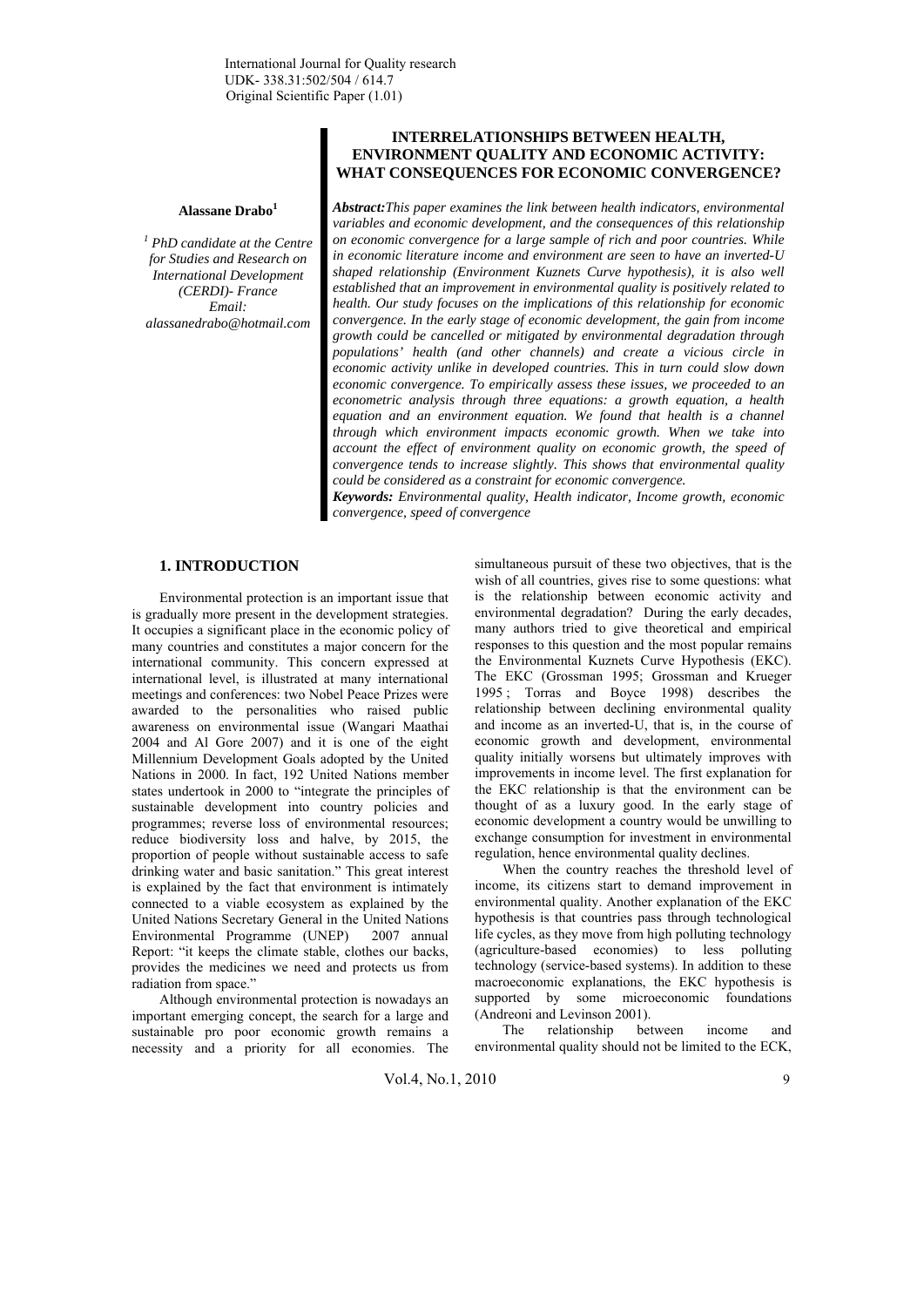## **Alassane Drabo<sup>1</sup>**

*1 PhD candidate at the Centre for Studies and Research on International Development (CERDI)- France Email: alassanedrabo@hotmail.com* 

## **INTERRELATIONSHIPS BETWEEN HEALTH, ENVIRONMENT QUALITY AND ECONOMIC ACTIVITY: WHAT CONSEQUENCES FOR ECONOMIC CONVERGENCE?**

*Abstract:This paper examines the link between health indicators, environmental variables and economic development, and the consequences of this relationship on economic convergence for a large sample of rich and poor countries. While in economic literature income and environment are seen to have an inverted-U shaped relationship (Environment Kuznets Curve hypothesis), it is also well established that an improvement in environmental quality is positively related to health. Our study focuses on the implications of this relationship for economic convergence. In the early stage of economic development, the gain from income growth could be cancelled or mitigated by environmental degradation through populations' health (and other channels) and create a vicious circle in economic activity unlike in developed countries. This in turn could slow down economic convergence. To empirically assess these issues, we proceeded to an econometric analysis through three equations: a growth equation, a health*  equation and an environment equation. We found that health is a channel *through which environment impacts economic growth. When we take into account the effect of environment quality on economic growth, the speed of convergence tends to increase slightly. This shows that environmental quality could be considered as a constraint for economic convergence.* 

*Keywords: Environmental quality, Health indicator, Income growth, economic convergence, speed of convergence* 

#### **1. INTRODUCTION**

Environmental protection is an important issue that is gradually more present in the development strategies. It occupies a significant place in the economic policy of many countries and constitutes a major concern for the international community. This concern expressed at international level, is illustrated at many international meetings and conferences: two Nobel Peace Prizes were awarded to the personalities who raised public awareness on environmental issue (Wangari Maathai 2004 and Al Gore 2007) and it is one of the eight Millennium Development Goals adopted by the United Nations in 2000. In fact, 192 United Nations member states undertook in 2000 to "integrate the principles of sustainable development into country policies and programmes; reverse loss of environmental resources; reduce biodiversity loss and halve, by 2015, the proportion of people without sustainable access to safe drinking water and basic sanitation." This great interest is explained by the fact that environment is intimately connected to a viable ecosystem as explained by the United Nations Secretary General in the United Nations Environmental Programme (UNEP) 2007 annual Report: "it keeps the climate stable, clothes our backs, provides the medicines we need and protects us from radiation from space."

Although environmental protection is nowadays an important emerging concept, the search for a large and sustainable pro poor economic growth remains a necessity and a priority for all economies. The simultaneous pursuit of these two objectives, that is the wish of all countries, gives rise to some questions: what is the relationship between economic activity and environmental degradation? During the early decades, many authors tried to give theoretical and empirical responses to this question and the most popular remains the Environmental Kuznets Curve Hypothesis (EKC). The EKC (Grossman 1995; Grossman and Krueger 1995 ; Torras and Boyce 1998) describes the relationship between declining environmental quality and income as an inverted-U, that is, in the course of economic growth and development, environmental quality initially worsens but ultimately improves with improvements in income level. The first explanation for the EKC relationship is that the environment can be thought of as a luxury good. In the early stage of economic development a country would be unwilling to exchange consumption for investment in environmental regulation, hence environmental quality declines.

When the country reaches the threshold level of income, its citizens start to demand improvement in environmental quality. Another explanation of the EKC hypothesis is that countries pass through technological life cycles, as they move from high polluting technology (agriculture-based economies) to less polluting technology (service-based systems). In addition to these macroeconomic explanations, the EKC hypothesis is supported by some microeconomic foundations (Andreoni and Levinson 2001).

The relationship between income and environmental quality should not be limited to the ECK,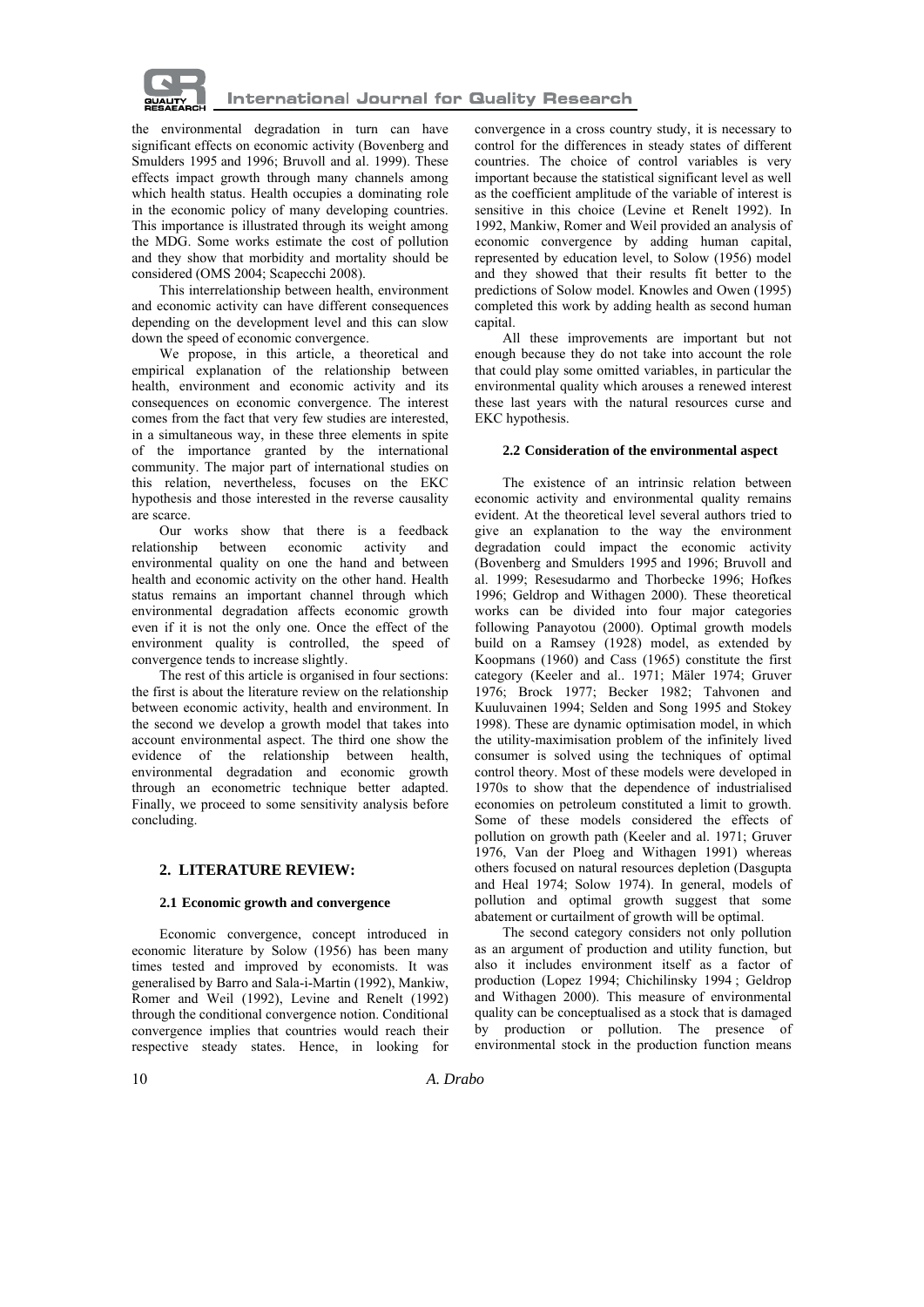

the environmental degradation in turn can have significant effects on economic activity (Bovenberg and Smulders 1995 and 1996; Bruvoll and al. 1999). These effects impact growth through many channels among which health status. Health occupies a dominating role in the economic policy of many developing countries. This importance is illustrated through its weight among the MDG. Some works estimate the cost of pollution and they show that morbidity and mortality should be considered (OMS 2004; Scapecchi 2008).

This interrelationship between health, environment and economic activity can have different consequences depending on the development level and this can slow down the speed of economic convergence.

We propose, in this article, a theoretical and empirical explanation of the relationship between health, environment and economic activity and its consequences on economic convergence. The interest comes from the fact that very few studies are interested, in a simultaneous way, in these three elements in spite of the importance granted by the international community. The major part of international studies on this relation, nevertheless, focuses on the EKC hypothesis and those interested in the reverse causality are scarce.

Our works show that there is a feedback relationship between economic activity and environmental quality on one the hand and between health and economic activity on the other hand. Health status remains an important channel through which environmental degradation affects economic growth even if it is not the only one. Once the effect of the environment quality is controlled, the speed of convergence tends to increase slightly.

The rest of this article is organised in four sections: the first is about the literature review on the relationship between economic activity, health and environment. In the second we develop a growth model that takes into account environmental aspect. The third one show the evidence of the relationship between health, environmental degradation and economic growth through an econometric technique better adapted. Finally, we proceed to some sensitivity analysis before concluding.

### **2. LITERATURE REVIEW:**

### **2.1 Economic growth and convergence**

Economic convergence, concept introduced in economic literature by Solow (1956) has been many times tested and improved by economists. It was generalised by Barro and Sala-i-Martin (1992), Mankiw, Romer and Weil (1992), Levine and Renelt (1992) through the conditional convergence notion. Conditional convergence implies that countries would reach their respective steady states. Hence, in looking for convergence in a cross country study, it is necessary to control for the differences in steady states of different countries. The choice of control variables is very important because the statistical significant level as well as the coefficient amplitude of the variable of interest is sensitive in this choice (Levine et Renelt 1992). In 1992, Mankiw, Romer and Weil provided an analysis of economic convergence by adding human capital, represented by education level, to Solow (1956) model and they showed that their results fit better to the predictions of Solow model. Knowles and Owen (1995) completed this work by adding health as second human capital.

All these improvements are important but not enough because they do not take into account the role that could play some omitted variables, in particular the environmental quality which arouses a renewed interest these last years with the natural resources curse and EKC hypothesis.

## **2.2 Consideration of the environmental aspect**

The existence of an intrinsic relation between economic activity and environmental quality remains evident. At the theoretical level several authors tried to give an explanation to the way the environment degradation could impact the economic activity (Bovenberg and Smulders 1995 and 1996; Bruvoll and al. 1999; Resesudarmo and Thorbecke 1996; Hofkes 1996; Geldrop and Withagen 2000). These theoretical works can be divided into four major categories following Panayotou (2000). Optimal growth models build on a Ramsey (1928) model, as extended by Koopmans (1960) and Cass (1965) constitute the first category (Keeler and al.. 1971; Mäler 1974; Gruver 1976; Brock 1977; Becker 1982; Tahvonen and Kuuluvainen 1994; Selden and Song 1995 and Stokey 1998). These are dynamic optimisation model, in which the utility-maximisation problem of the infinitely lived consumer is solved using the techniques of optimal control theory. Most of these models were developed in 1970s to show that the dependence of industrialised economies on petroleum constituted a limit to growth. Some of these models considered the effects of pollution on growth path (Keeler and al. 1971; Gruver 1976, Van der Ploeg and Withagen 1991) whereas others focused on natural resources depletion (Dasgupta and Heal 1974; Solow 1974). In general, models of pollution and optimal growth suggest that some abatement or curtailment of growth will be optimal.

The second category considers not only pollution as an argument of production and utility function, but also it includes environment itself as a factor of production (Lopez 1994; Chichilinsky 1994 ; Geldrop and Withagen 2000). This measure of environmental quality can be conceptualised as a stock that is damaged by production or pollution. The presence of environmental stock in the production function means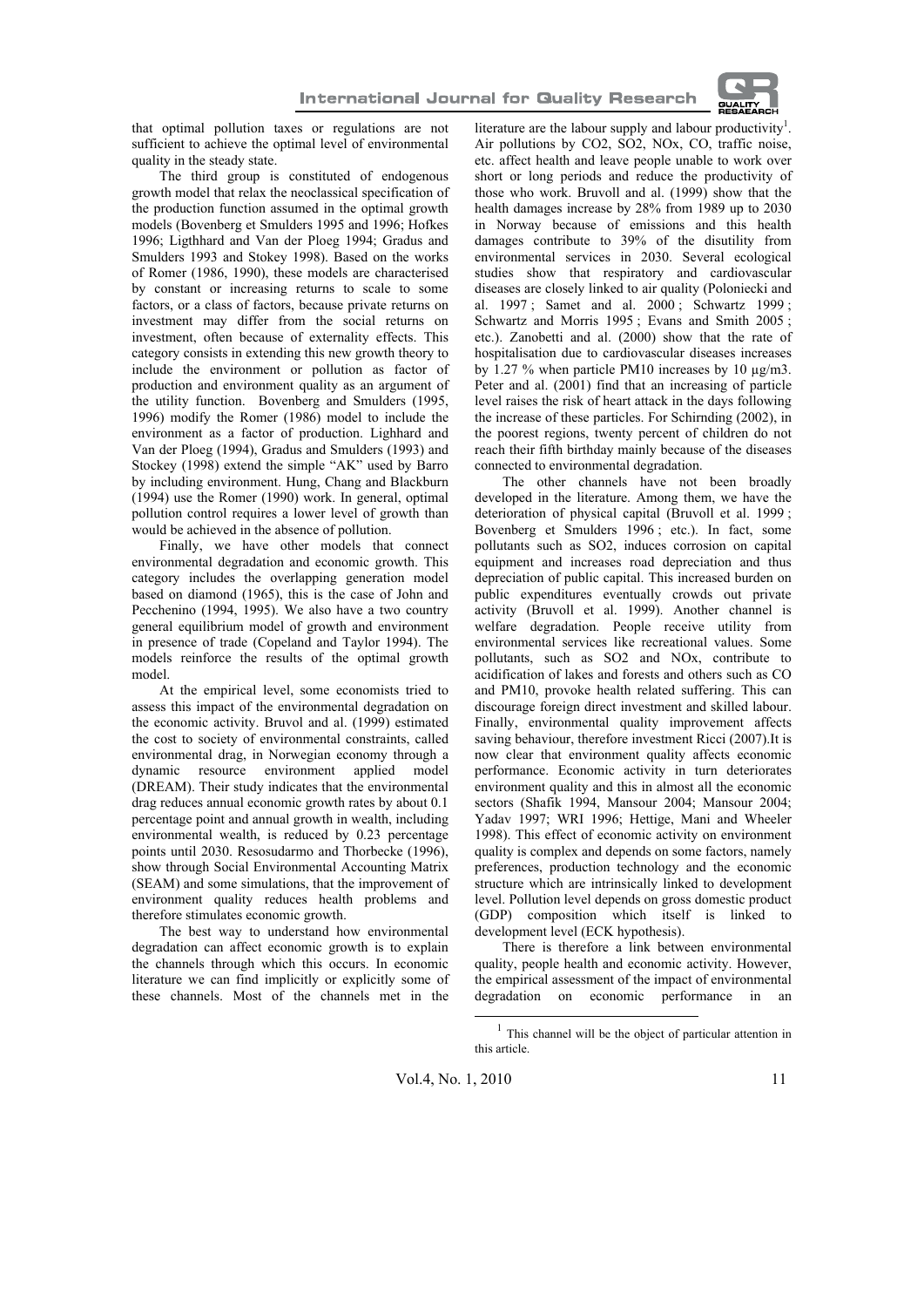

that optimal pollution taxes or regulations are not sufficient to achieve the optimal level of environmental quality in the steady state.

The third group is constituted of endogenous growth model that relax the neoclassical specification of the production function assumed in the optimal growth models (Bovenberg et Smulders 1995 and 1996; Hofkes 1996; Ligthhard and Van der Ploeg 1994; Gradus and Smulders 1993 and Stokey 1998). Based on the works of Romer (1986, 1990), these models are characterised by constant or increasing returns to scale to some factors, or a class of factors, because private returns on investment may differ from the social returns on investment, often because of externality effects. This category consists in extending this new growth theory to include the environment or pollution as factor of production and environment quality as an argument of the utility function. Bovenberg and Smulders (1995, 1996) modify the Romer (1986) model to include the environment as a factor of production. Lighhard and Van der Ploeg (1994), Gradus and Smulders (1993) and Stockey (1998) extend the simple "AK" used by Barro by including environment. Hung, Chang and Blackburn (1994) use the Romer (1990) work. In general, optimal pollution control requires a lower level of growth than would be achieved in the absence of pollution.

Finally, we have other models that connect environmental degradation and economic growth. This category includes the overlapping generation model based on diamond (1965), this is the case of John and Pecchenino (1994, 1995). We also have a two country general equilibrium model of growth and environment in presence of trade (Copeland and Taylor 1994). The models reinforce the results of the optimal growth model.

At the empirical level, some economists tried to assess this impact of the environmental degradation on the economic activity. Bruvol and al. (1999) estimated the cost to society of environmental constraints, called environmental drag, in Norwegian economy through a dynamic resource environment applied model (DREAM). Their study indicates that the environmental drag reduces annual economic growth rates by about 0.1 percentage point and annual growth in wealth, including environmental wealth, is reduced by 0.23 percentage points until 2030. Resosudarmo and Thorbecke (1996), show through Social Environmental Accounting Matrix (SEAM) and some simulations, that the improvement of environment quality reduces health problems and therefore stimulates economic growth.

The best way to understand how environmental degradation can affect economic growth is to explain the channels through which this occurs. In economic literature we can find implicitly or explicitly some of these channels. Most of the channels met in the

literature are the labour supply and labour productivity<sup>1</sup>. Air pollutions by CO2, SO2, NOx, CO, traffic noise, etc. affect health and leave people unable to work over short or long periods and reduce the productivity of those who work. Bruvoll and al. (1999) show that the health damages increase by 28% from 1989 up to 2030 in Norway because of emissions and this health damages contribute to 39% of the disutility from environmental services in 2030. Several ecological studies show that respiratory and cardiovascular diseases are closely linked to air quality (Poloniecki and al. 1997 ; Samet and al. 2000 ; Schwartz 1999 ; Schwartz and Morris 1995; Evans and Smith 2005; etc.). Zanobetti and al. (2000) show that the rate of hospitalisation due to cardiovascular diseases increases by 1.27 % when particle PM10 increases by 10 µg/m3. Peter and al. (2001) find that an increasing of particle level raises the risk of heart attack in the days following the increase of these particles. For Schirnding (2002), in the poorest regions, twenty percent of children do not reach their fifth birthday mainly because of the diseases connected to environmental degradation.

The other channels have not been broadly developed in the literature. Among them, we have the deterioration of physical capital (Bruvoll et al. 1999 ; Bovenberg et Smulders 1996 ; etc.). In fact, some pollutants such as SO2, induces corrosion on capital equipment and increases road depreciation and thus depreciation of public capital. This increased burden on public expenditures eventually crowds out private activity (Bruvoll et al. 1999). Another channel is welfare degradation. People receive utility from environmental services like recreational values. Some pollutants, such as SO2 and NOx, contribute to acidification of lakes and forests and others such as CO and PM10, provoke health related suffering. This can discourage foreign direct investment and skilled labour. Finally, environmental quality improvement affects saving behaviour, therefore investment Ricci (2007).It is now clear that environment quality affects economic performance. Economic activity in turn deteriorates environment quality and this in almost all the economic sectors (Shafik 1994, Mansour 2004; Mansour 2004; Yadav 1997; WRI 1996; Hettige, Mani and Wheeler 1998). This effect of economic activity on environment quality is complex and depends on some factors, namely preferences, production technology and the economic structure which are intrinsically linked to development level. Pollution level depends on gross domestic product (GDP) composition which itself is linked to development level (ECK hypothesis).

There is therefore a link between environmental quality, people health and economic activity. However, the empirical assessment of the impact of environmental degradation on economic performance in an

 $<sup>1</sup>$  This channel will be the object of particular attention in</sup> this article.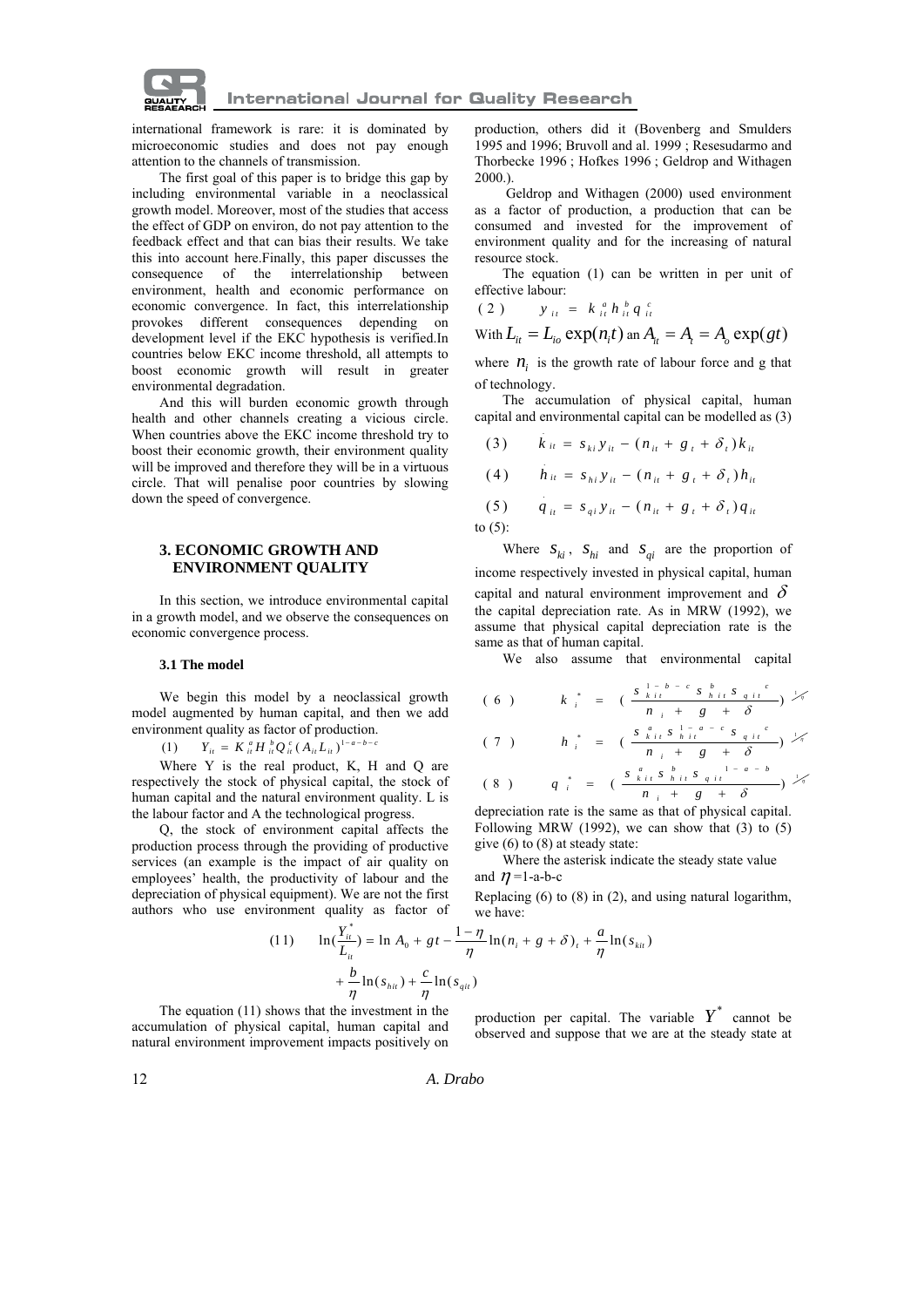

international framework is rare: it is dominated by microeconomic studies and does not pay enough attention to the channels of transmission.

The first goal of this paper is to bridge this gap by including environmental variable in a neoclassical growth model. Moreover, most of the studies that access the effect of GDP on environ, do not pay attention to the feedback effect and that can bias their results. We take this into account here.Finally, this paper discusses the consequence of the interrelationship between environment, health and economic performance on economic convergence. In fact, this interrelationship provokes different consequences depending on development level if the EKC hypothesis is verified.In countries below EKC income threshold, all attempts to boost economic growth will result in greater environmental degradation.

And this will burden economic growth through health and other channels creating a vicious circle. When countries above the EKC income threshold try to boost their economic growth, their environment quality will be improved and therefore they will be in a virtuous circle. That will penalise poor countries by slowing down the speed of convergence.

## **3. ECONOMIC GROWTH AND ENVIRONMENT QUALITY**

In this section, we introduce environmental capital in a growth model, and we observe the consequences on economic convergence process.

#### **3.1 The model**

We begin this model by a neoclassical growth model augmented by human capital, and then we add environment quality as factor of production.

$$
(1) \t Y_{ii} = K_{ii}^a H_{ii}^b Q_{ii}^c (A_{ii} L_{ii})^{1-a-b}
$$

Where Y is the real product, K, H and Q are respectively the stock of physical capital, the stock of human capital and the natural environment quality. L is the labour factor and A the technological progress.

Q, the stock of environment capital affects the production process through the providing of productive services (an example is the impact of air quality on employees' health, the productivity of labour and the depreciation of physical equipment). We are not the first authors who use environment quality as factor of we have:

production, others did it (Bovenberg and Smulders 1995 and 1996; Bruvoll and al. 1999 ; Resesudarmo and Thorbecke 1996 ; Hofkes 1996 ; Geldrop and Withagen 2000.).

 Geldrop and Withagen (2000) used environment as a factor of production, a production that can be consumed and invested for the improvement of environment quality and for the increasing of natural resource stock.

The equation (1) can be written in per unit of effective labour:

$$
(2) \t y_{it} = k_{it}^a h_{it}^b q_{it}^c
$$

With 
$$
L_{it} = L_{io} \exp(n_i t)
$$
 an  $A_{it} = A_t = A_o \exp(gt)$ 

where  $n_i$  is the growth rate of labour force and g that of technology.

The accumulation of physical capital, human capital and environmental capital can be modelled as (3)

$$
(3) \qquad k_{it} = s_{ki} y_{it} - (n_{it} + g_t + \delta_t) k_{it}
$$

(4)  $\hat{h}_{it} = s_{hi} y_{it} - (n_{it} + g_t + \delta_t) h_{it}$ 

(5) 
$$
q_{ii} = s_{qi} y_{it} - (n_{it} + g_t + \delta_t) q_{it}
$$
  
0.65)

to (5):

Where  $S_{ki}$ ,  $S_{hi}$  and  $S_{qi}$  are the proportion of income respectively invested in physical capital, human capital and natural environment improvement and  $\delta$ the capital depreciation rate. As in MRW (1992), we assume that physical capital depreciation rate is the same as that of human capital.

We also assume that environmental capital

$$
(6)
$$
\n
$$
k_{i}^{*} = \left(\frac{s_{k i t}^{1 - b - c} s_{h i t} s_{q i t}^{b}}{n_{i} + g + \delta}\right) \frac{1}{\sqrt{n}}
$$
\n
$$
(7)
$$
\n
$$
h_{i}^{*} = \left(\frac{s_{k i t}^{a} s_{h i t}^{1 - a - c} s_{q i t}^{c}}{n_{i} + g + \delta}\right) \frac{1}{\sqrt{n}}
$$
\n
$$
(8)
$$
\n
$$
q_{i}^{*} = \left(\frac{s_{k i t}^{a} s_{h i t}^{b} s_{q i t}^{1 - a - b}}{n_{i} + g + \delta}\right) \frac{1}{\sqrt{n}}
$$

depreciation rate is the same as that of physical capital. Following MRW (1992), we can show that  $(3)$  to  $(5)$ give (6) to (8) at steady state:

Where the asterisk indicate the steady state value and  $n=1$ -a-b-c

Replacing (6) to (8) in (2), and using natural logarithm,

(11) 
$$
\ln(\frac{Y_{it}^*}{L_{it}}) = \ln A_0 + gt - \frac{1-\eta}{\eta} \ln(n_i + g + \delta)_t + \frac{a}{\eta} \ln(s_{kit}) + \frac{b}{\eta} \ln(s_{hit}) + \frac{c}{\eta} \ln(s_{git})
$$

The equation (11) shows that the investment in the accumulation of physical capital, human capital and natural environment improvement impacts positively on

production per capital. The variable  $Y^*$  cannot be observed and suppose that we are at the steady state at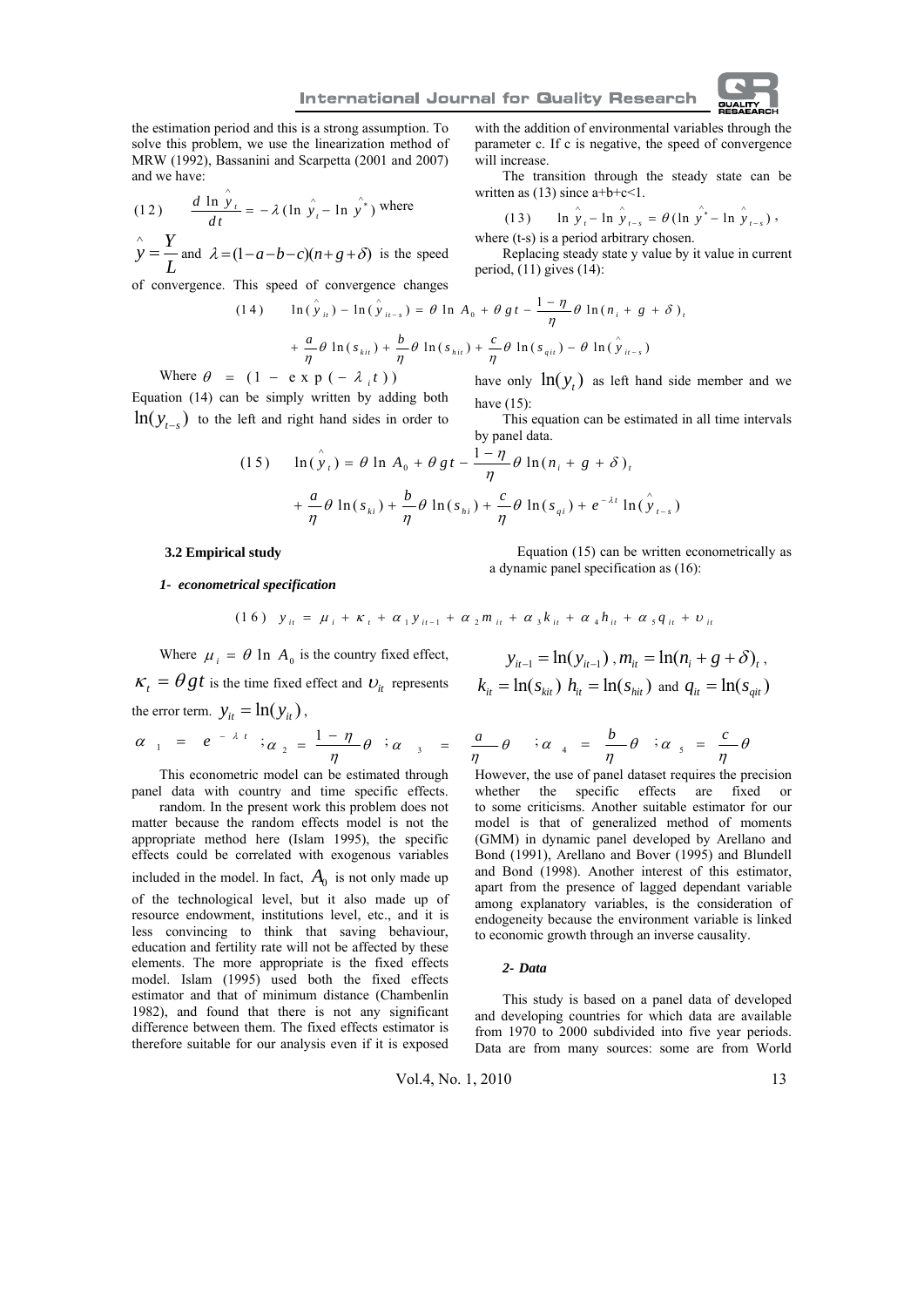will increase.

written as  $(13)$  since  $a+b+c<1$ .

period,  $(11)$  gives  $(14)$ :

where  $(t-s)$  is a period arbitrary chosen.

the estimation period and this is a strong assumption. To solve this problem, we use the linearization method of MRW (1992), Bassanini and Scarpetta (2001 and 2007) and we have:

(12) 
$$
\frac{d \ln y_t}{dt} = -\lambda (\ln \hat{y}_t - \ln \hat{y}^*)
$$
 where  
\n
$$
\hat{y} = \frac{Y}{L}
$$
 and  $\lambda = (1 - a - b - c)(n + g + \delta)$  is the speed

∧

of convergence. This speed of convergence changes

(14) 
$$
\ln(\hat{y}_{it}) - \ln(\hat{y}_{it-s}) = \theta \ln A_0 + \theta gt - \frac{1-\eta}{\eta} \theta \ln(n_i + g + \delta),
$$

$$
+ \frac{a}{\eta} \theta \ln(s_{kit}) + \frac{b}{\eta} \theta \ln(s_{hit}) + \frac{c}{\eta} \theta \ln(s_{air}) - \theta \ln(\hat{y}_{it-s})
$$

have (15):

by panel data.

Where  $\theta = (1 - e \times p (- \lambda_i t))$ 

Equation (14) can be simply written by adding both  $\ln(y_{t-s})$  to the left and right hand sides in order to

(15) 
$$
\ln(\hat{y}_t) = \theta \ln A_0 + \theta gt - \frac{1-\eta}{\eta} \theta \ln(n_i + g + \delta)_t + \frac{a}{\eta} \theta \ln(s_{ki}) + \frac{b}{\eta} \theta \ln(s_{ki}) + \frac{c}{\eta} \theta \ln(s_{qi}) + e^{-\lambda t} \ln(\hat{y}_{t-s})
$$

## **3.2 Empirical study**

Equation (15) can be written econometrically as a dynamic panel specification as (16):

with the addition of environmental variables through the parameter c. If c is negative, the speed of convergence

The transition through the steady state can be

(13) ln  $\hat{y}_t - \ln \hat{y}_t = \theta (\ln \hat{y}^* - \ln \hat{y}_t)$ ,

Replacing steady state y value by it value in current

have only  $\ln(y_t)$  as left hand side member and we

This equation can be estimated in all time intervals

## *1- econometrical specification*

$$
(16) \quad y_{it} = \mu_i + \kappa_t + \alpha_1 y_{it-1} + \alpha_2 m_{it} + \alpha_3 k_{it} + \alpha_4 h_{it} + \alpha_5 q_{it} + v_{it}
$$

Where  $\mu_i = \theta \ln A_0$  is the country fixed effect,

 $\kappa_t = \theta gt$  is the time fixed effect and  $v_i$  represents the error term.  $y_{it} = \ln(y_{it})$ ,

$$
\alpha_{1} = e^{-\lambda t} \nvert \nvert \nvert \alpha_{2} = \frac{1-\eta}{\eta} \theta \nvert \nvert \nvert \alpha_{3} = \frac{a}{\eta} \theta
$$

This econometric model can be estimated through panel data with country and time specific effects.

random. In the present work this problem does not matter because the random effects model is not the appropriate method here (Islam 1995), the specific effects could be correlated with exogenous variables included in the model. In fact,  $A_0$  is not only made up of the technological level, but it also made up of resource endowment, institutions level, etc., and it is less convincing to think that saving behaviour, education and fertility rate will not be affected by these elements. The more appropriate is the fixed effects model. Islam (1995) used both the fixed effects estimator and that of minimum distance (Chambenlin 1982), and found that there is not any significant difference between them. The fixed effects estimator is therefore suitable for our analysis even if it is exposed

$$
y_{it-1} = \ln(y_{it-1}), m_{it} = \ln(n_i + g + \delta)_t,
$$
  

$$
k_{it} = \ln(s_{kit}) \ h_{it} = \ln(s_{hit}) \text{ and } q_{it} = \ln(s_{git})
$$

$$
= \frac{a}{\eta} \theta \quad \dot{\theta} \quad \frac{a}{\eta} \quad = \frac{b}{\eta} \theta \quad \dot{\theta} \quad \frac{a}{\eta} \quad = \frac{c}{\eta} \theta
$$

However, the use of panel dataset requires the precision whether the specific effects are fixed or to some criticisms. Another suitable estimator for our model is that of generalized method of moments (GMM) in dynamic panel developed by Arellano and Bond (1991), Arellano and Bover (1995) and Blundell and Bond (1998). Another interest of this estimator, apart from the presence of lagged dependant variable among explanatory variables, is the consideration of endogeneity because the environment variable is linked to economic growth through an inverse causality.

#### *2- Data*

This study is based on a panel data of developed and developing countries for which data are available from 1970 to 2000 subdivided into five year periods. Data are from many sources: some are from World

Vol.4, No. 1, 2010 13

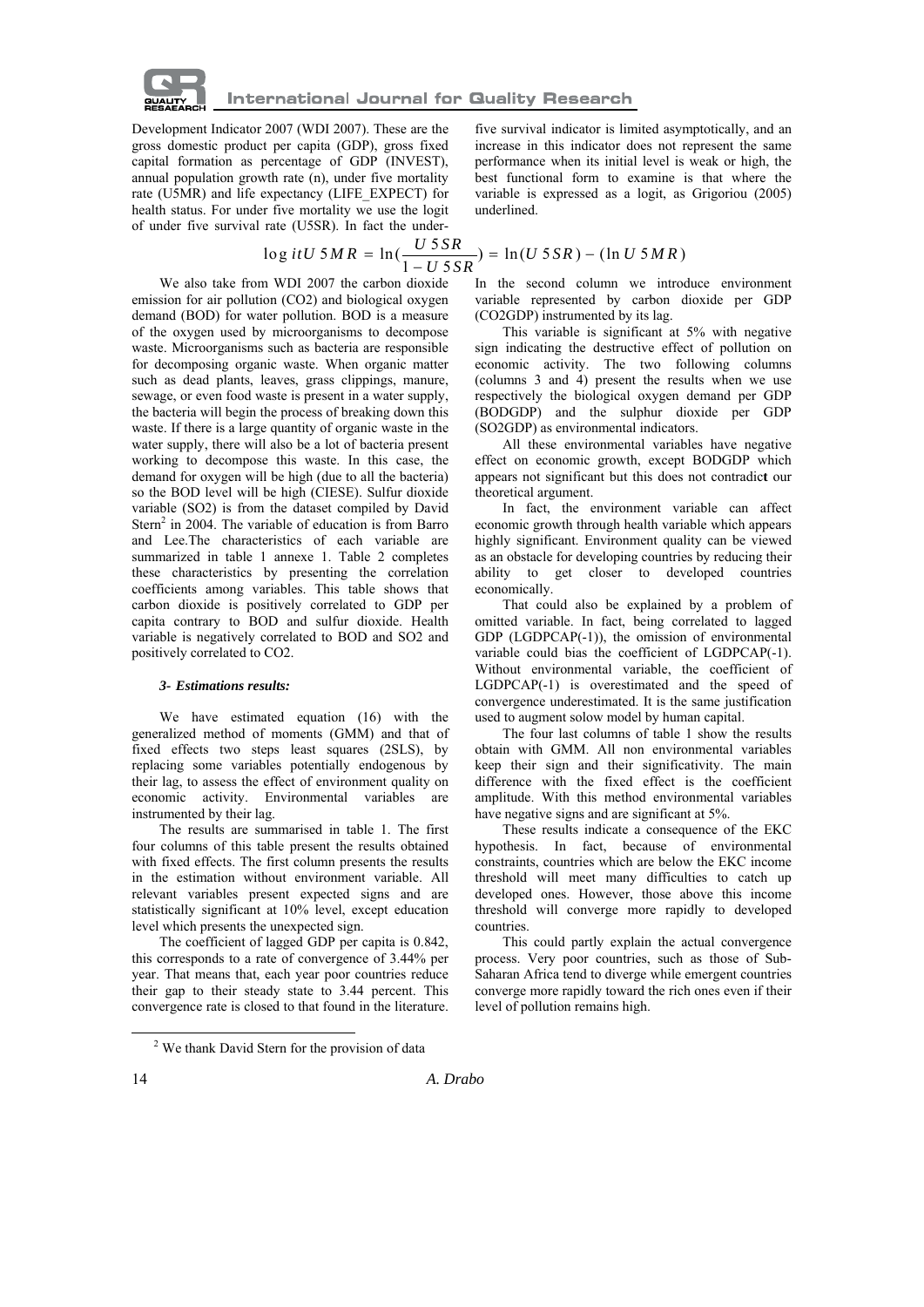

Development Indicator 2007 (WDI 2007). These are the gross domestic product per capita (GDP), gross fixed capital formation as percentage of GDP (INVEST), annual population growth rate (n), under five mortality rate (U5MR) and life expectancy (LIFE\_EXPECT) for health status. For under five mortality we use the logit of under five survival rate (U5SR). In fact the under-

$$
\log itU 5MR = \ln(\frac{U 5SR}{1 - U 5SR}) = \ln(U 5SR) - (\ln U 5MR)
$$

We also take from WDI 2007 the carbon dioxide emission for air pollution (CO2) and biological oxygen demand (BOD) for water pollution. BOD is a measure of the oxygen used by microorganisms to decompose waste. Microorganisms such as bacteria are responsible for decomposing organic waste. When organic matter such as dead plants, leaves, grass clippings, manure, sewage, or even food waste is present in a water supply, the bacteria will begin the process of breaking down this waste. If there is a large quantity of organic waste in the water supply, there will also be a lot of bacteria present working to decompose this waste. In this case, the demand for oxygen will be high (due to all the bacteria) so the BOD level will be high (CIESE). Sulfur dioxide variable (SO2) is from the dataset compiled by David Stern<sup>2</sup> in 2004. The variable of education is from Barro and Lee.The characteristics of each variable are summarized in table 1 annexe 1. Table 2 completes these characteristics by presenting the correlation coefficients among variables. This table shows that carbon dioxide is positively correlated to GDP per capita contrary to BOD and sulfur dioxide. Health variable is negatively correlated to BOD and SO2 and positively correlated to CO2.

## *3- Estimations results:*

We have estimated equation (16) with the generalized method of moments (GMM) and that of fixed effects two steps least squares (2SLS), by replacing some variables potentially endogenous by their lag, to assess the effect of environment quality on economic activity. Environmental variables are instrumented by their lag.

The results are summarised in table 1. The first four columns of this table present the results obtained with fixed effects. The first column presents the results in the estimation without environment variable. All relevant variables present expected signs and are statistically significant at 10% level, except education level which presents the unexpected sign.

The coefficient of lagged GDP per capita is 0.842, this corresponds to a rate of convergence of 3.44% per year. That means that, each year poor countries reduce their gap to their steady state to 3.44 percent. This convergence rate is closed to that found in the literature.

five survival indicator is limited asymptotically, and an increase in this indicator does not represent the same performance when its initial level is weak or high, the best functional form to examine is that where the variable is expressed as a logit, as Grigoriou (2005) underlined.

In the second column we introduce environment variable represented by carbon dioxide per GDP (CO2GDP) instrumented by its lag.

This variable is significant at 5% with negative sign indicating the destructive effect of pollution on economic activity. The two following columns (columns 3 and 4) present the results when we use respectively the biological oxygen demand per GDP (BODGDP) and the sulphur dioxide per GDP (SO2GDP) as environmental indicators.

All these environmental variables have negative effect on economic growth, except BODGDP which appears not significant but this does not contradic**t** our theoretical argument.

In fact, the environment variable can affect economic growth through health variable which appears highly significant. Environment quality can be viewed as an obstacle for developing countries by reducing their ability to get closer to developed countries economically.

That could also be explained by a problem of omitted variable. In fact, being correlated to lagged GDP (LGDPCAP(-1)), the omission of environmental variable could bias the coefficient of LGDPCAP(-1). Without environmental variable, the coefficient of LGDPCAP(-1) is overestimated and the speed of convergence underestimated. It is the same justification used to augment solow model by human capital.

The four last columns of table 1 show the results obtain with GMM. All non environmental variables keep their sign and their significativity. The main difference with the fixed effect is the coefficient amplitude. With this method environmental variables have negative signs and are significant at 5%.

These results indicate a consequence of the EKC hypothesis. In fact, because of environmental constraints, countries which are below the EKC income threshold will meet many difficulties to catch up developed ones. However, those above this income threshold will converge more rapidly to developed countries.

This could partly explain the actual convergence process. Very poor countries, such as those of Sub-Saharan Africa tend to diverge while emergent countries converge more rapidly toward the rich ones even if their level of pollution remains high.

 <sup>2</sup> <sup>2</sup> We thank David Stern for the provision of data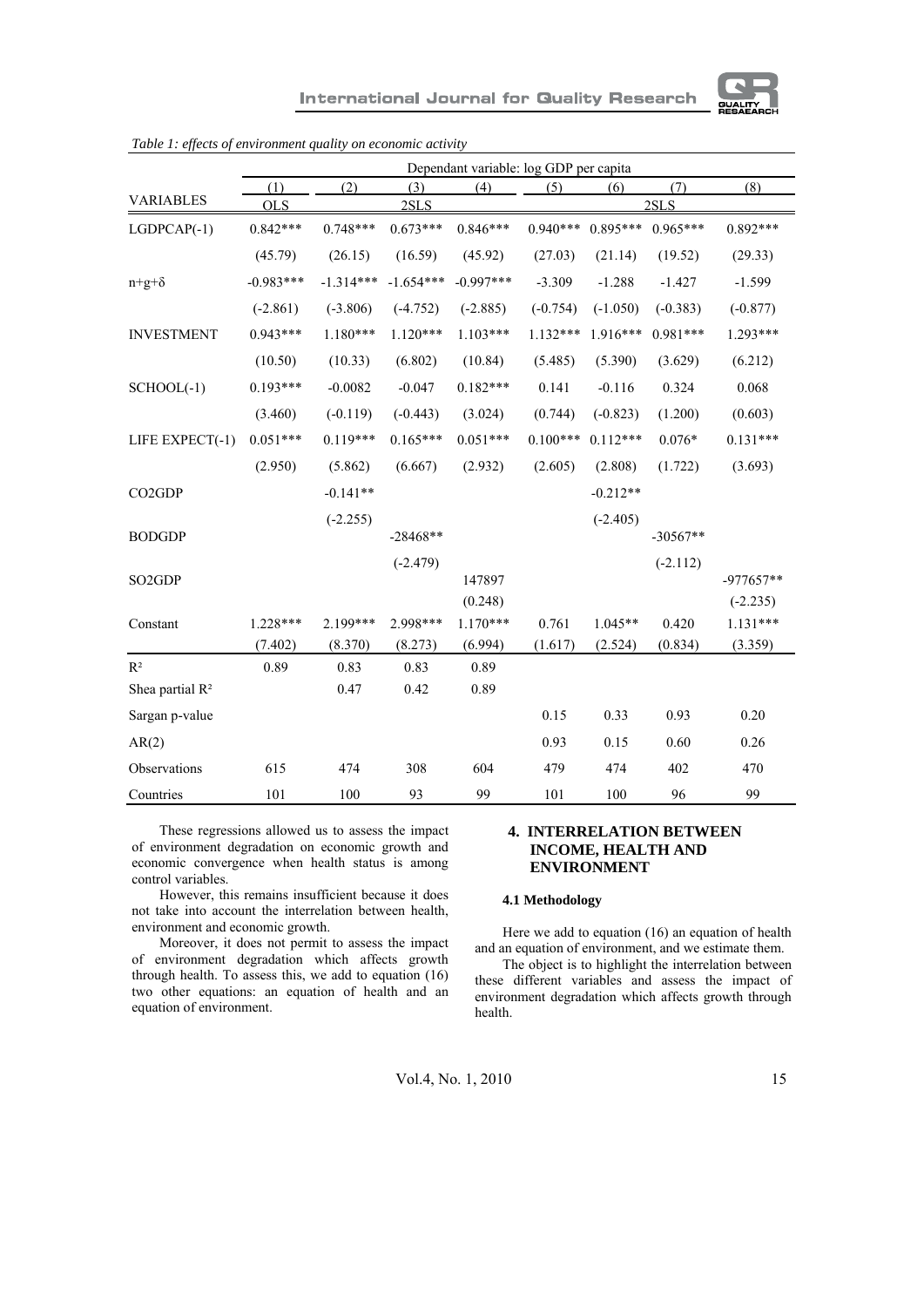

|                                 | Dependant variable: log GDP per capita |             |             |             |            |            |            |             |
|---------------------------------|----------------------------------------|-------------|-------------|-------------|------------|------------|------------|-------------|
|                                 | (1)                                    | (2)         | (3)         | (4)         | (5)        | (6)        | (7)        | (8)         |
| <b>VARIABLES</b>                | <b>OLS</b>                             |             | 2SLS        |             |            |            | 2SLS       |             |
| $LGDPCAP(-1)$                   | $0.842***$                             | $0.748***$  | $0.673***$  | $0.846***$  | $0.940***$ | $0.895***$ | $0.965***$ | $0.892***$  |
|                                 | (45.79)                                | (26.15)     | (16.59)     | (45.92)     | (27.03)    | (21.14)    | (19.52)    | (29.33)     |
| $n+g+\delta$                    | $-0.983***$                            | $-1.314***$ | $-1.654***$ | $-0.997***$ | $-3.309$   | $-1.288$   | $-1.427$   | $-1.599$    |
|                                 | $(-2.861)$                             | $(-3.806)$  | $(-4.752)$  | $(-2.885)$  | $(-0.754)$ | $(-1.050)$ | $(-0.383)$ | $(-0.877)$  |
| <b>INVESTMENT</b>               | $0.943***$                             | $1.180***$  | $1.120***$  | $1.103***$  | $1.132***$ | $1.916***$ | $0.981***$ | $1.293***$  |
|                                 | (10.50)                                | (10.33)     | (6.802)     | (10.84)     | (5.485)    | (5.390)    | (3.629)    | (6.212)     |
| $SCHOOL(-1)$                    | $0.193***$                             | $-0.0082$   | $-0.047$    | $0.182***$  | 0.141      | $-0.116$   | 0.324      | 0.068       |
|                                 | (3.460)                                | $(-0.119)$  | $(-0.443)$  | (3.024)     | (0.744)    | $(-0.823)$ | (1.200)    | (0.603)     |
| LIFE EXPECT(-1)                 | $0.051***$                             | $0.119***$  | $0.165***$  | $0.051***$  | $0.100***$ | $0.112***$ | $0.076*$   | $0.131***$  |
|                                 | (2.950)                                | (5.862)     | (6.667)     | (2.932)     | (2.605)    | (2.808)    | (1.722)    | (3.693)     |
| CO2GDP                          |                                        | $-0.141**$  |             |             |            | $-0.212**$ |            |             |
|                                 |                                        | $(-2.255)$  |             |             |            | $(-2.405)$ |            |             |
| <b>BODGDP</b>                   |                                        |             | $-28468**$  |             |            |            | $-30567**$ |             |
|                                 |                                        |             | $(-2.479)$  |             |            |            | $(-2.112)$ |             |
| SO <sub>2</sub> G <sub>DP</sub> |                                        |             |             | 147897      |            |            |            | $-977657**$ |
|                                 |                                        |             |             | (0.248)     |            |            |            | $(-2.235)$  |
| Constant                        | 1.228***                               | 2.199***    | 2.998***    | $1.170***$  | 0.761      | $1.045**$  | 0.420      | $1.131***$  |
|                                 | (7.402)                                | (8.370)     | (8.273)     | (6.994)     | (1.617)    | (2.524)    | (0.834)    | (3.359)     |
| $R^2$                           | 0.89                                   | 0.83        | 0.83        | 0.89        |            |            |            |             |
| Shea partial $R^2$              |                                        | 0.47        | 0.42        | 0.89        |            |            |            |             |
| Sargan p-value                  |                                        |             |             |             | 0.15       | 0.33       | 0.93       | 0.20        |
| AR(2)                           |                                        |             |             |             | 0.93       | 0.15       | 0.60       | 0.26        |
| Observations                    | 615                                    | 474         | 308         | 604         | 479        | 474        | 402        | 470         |
| Countries                       | 101                                    | 100         | 93          | 99          | 101        | 100        | 96         | 99          |

*Table 1: effects of environment quality on economic activity* 

These regressions allowed us to assess the impact of environment degradation on economic growth and economic convergence when health status is among control variables.

However, this remains insufficient because it does not take into account the interrelation between health, environment and economic growth.

Moreover, it does not permit to assess the impact of environment degradation which affects growth through health. To assess this, we add to equation (16) two other equations: an equation of health and an equation of environment.

## **4. INTERRELATION BETWEEN INCOME, HEALTH AND ENVIRONMENT**

## **4.1 Methodology**

Here we add to equation (16) an equation of health and an equation of environment, and we estimate them.

The object is to highlight the interrelation between these different variables and assess the impact of environment degradation which affects growth through health.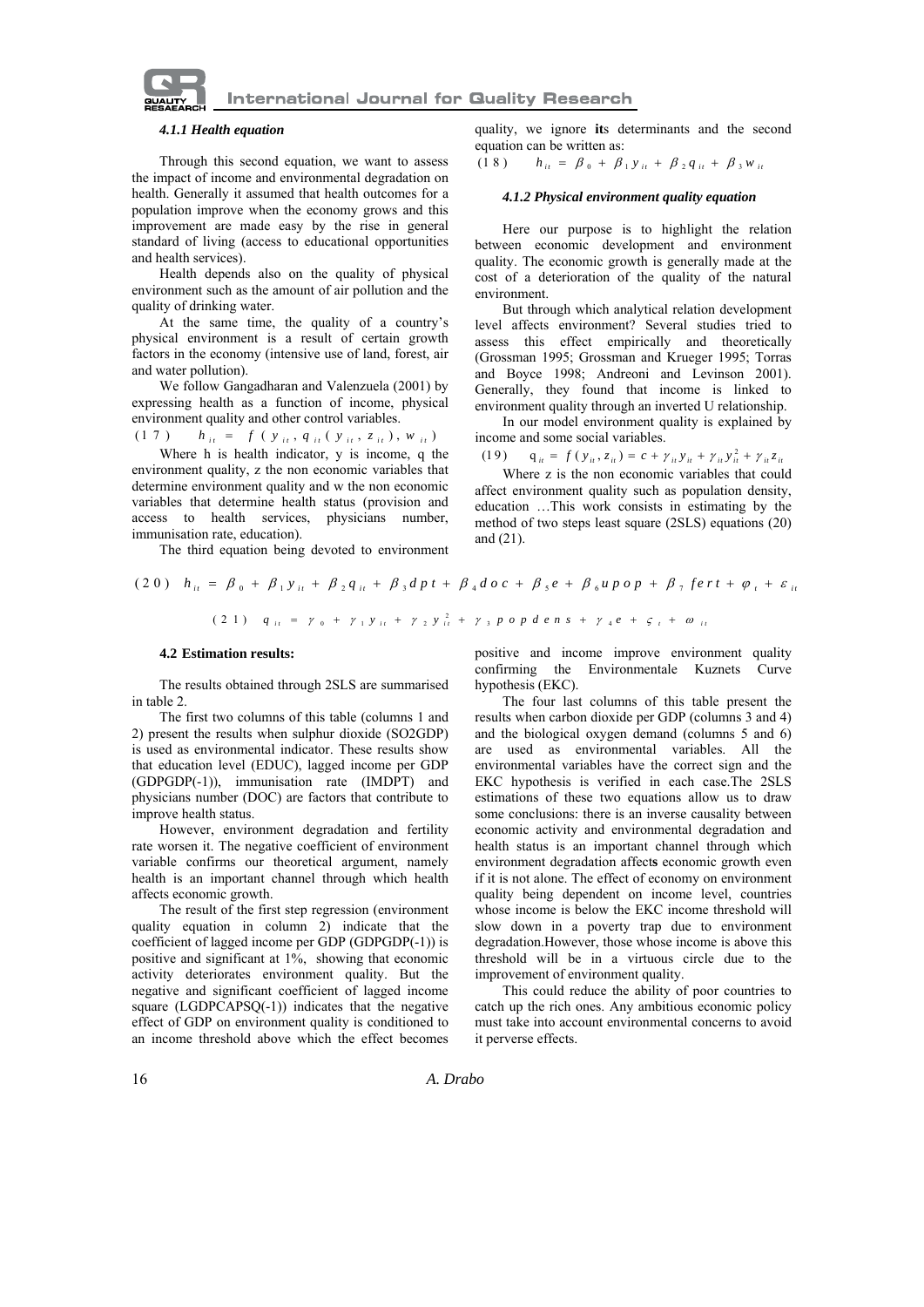

## *4.1.1 Health equation*

Through this second equation, we want to assess the impact of income and environmental degradation on health. Generally it assumed that health outcomes for a population improve when the economy grows and this improvement are made easy by the rise in general standard of living (access to educational opportunities and health services).

Health depends also on the quality of physical environment such as the amount of air pollution and the quality of drinking water.

At the same time, the quality of a country's physical environment is a result of certain growth factors in the economy (intensive use of land, forest, air and water pollution).

We follow Gangadharan and Valenzuela (2001) by expressing health as a function of income, physical environment quality and other control variables.

$$
(1 7) \t h_{it} = f (y_{it}, q_{it} (y_{it}, z_{it}), w_{it})
$$

Where h is health indicator, y is income, q the environment quality, z the non economic variables that determine environment quality and w the non economic variables that determine health status (provision and access to health services, physicians number, immunisation rate, education).

The third equation being devoted to environment

quality, we ignore **it**s determinants and the second equation can be written as:<br>(1 8 )  $h_{ii} = \beta_0 + \beta_0$ 

 $h_{ii} = \beta_0 + \beta_1 y_{ii} + \beta_2 q_{ii} + \beta_3 w_{ii}$ 

## *4.1.2 Physical environment quality equation*

Here our purpose is to highlight the relation between economic development and environment quality. The economic growth is generally made at the cost of a deterioration of the quality of the natural environment.

But through which analytical relation development level affects environment? Several studies tried to assess this effect empirically and theoretically (Grossman 1995; Grossman and Krueger 1995; Torras and Boyce 1998; Andreoni and Levinson 2001). Generally, they found that income is linked to environment quality through an inverted U relationship.

In our model environment quality is explained by income and some social variables.<br>
(19)  $q_{ii} = f(y_{ii}, z_{ii}) = c + \gamma_{ii} y_{ii} + \gamma_{ii} y_{ii}^2 + \gamma_{ii} z_{ii}$ 

Where z is the non economic variables that could affect environment quality such as population density, education …This work consists in estimating by the method of two steps least square (2SLS) equations (20) and (21).

$$
(20) \quad h_{it} = \beta_0 + \beta_1 y_{it} + \beta_2 q_{it} + \beta_3 dp t + \beta_4 d \circ c + \beta_5 e + \beta_6 \mu p \circ p + \beta_7 f e r t + \varphi_t + \varepsilon_{it}
$$

$$
(2 1) \quad q_{ii} = \gamma_0 + \gamma_1 y_{ii} + \gamma_2 y_{ii}^2 + \gamma_3 p \cdot o \cdot p \cdot d \cdot e \cdot n \cdot s + \gamma_4 e + \varsigma_i + \omega_{ii}
$$

#### **4.2 Estimation results:**

The results obtained through 2SLS are summarised in table 2.

The first two columns of this table (columns 1 and 2) present the results when sulphur dioxide (SO2GDP) is used as environmental indicator. These results show that education level (EDUC), lagged income per GDP (GDPGDP(-1)), immunisation rate (IMDPT) and physicians number (DOC) are factors that contribute to improve health status.

However, environment degradation and fertility rate worsen it. The negative coefficient of environment variable confirms our theoretical argument, namely health is an important channel through which health affects economic growth.

The result of the first step regression (environment quality equation in column 2) indicate that the coefficient of lagged income per GDP (GDPGDP(-1)) is positive and significant at 1%, showing that economic activity deteriorates environment quality. But the negative and significant coefficient of lagged income square (LGDPCAPSQ(-1)) indicates that the negative effect of GDP on environment quality is conditioned to an income threshold above which the effect becomes positive and income improve environment quality confirming the Environmentale Kuznets Curve hypothesis (EKC).

The four last columns of this table present the results when carbon dioxide per GDP (columns 3 and 4) and the biological oxygen demand (columns 5 and 6) are used as environmental variables. All the environmental variables have the correct sign and the EKC hypothesis is verified in each case.The 2SLS estimations of these two equations allow us to draw some conclusions: there is an inverse causality between economic activity and environmental degradation and health status is an important channel through which environment degradation affect**s** economic growth even if it is not alone. The effect of economy on environment quality being dependent on income level, countries whose income is below the EKC income threshold will slow down in a poverty trap due to environment degradation.However, those whose income is above this threshold will be in a virtuous circle due to the improvement of environment quality.

This could reduce the ability of poor countries to catch up the rich ones. Any ambitious economic policy must take into account environmental concerns to avoid it perverse effects.

16 *A. Drabo*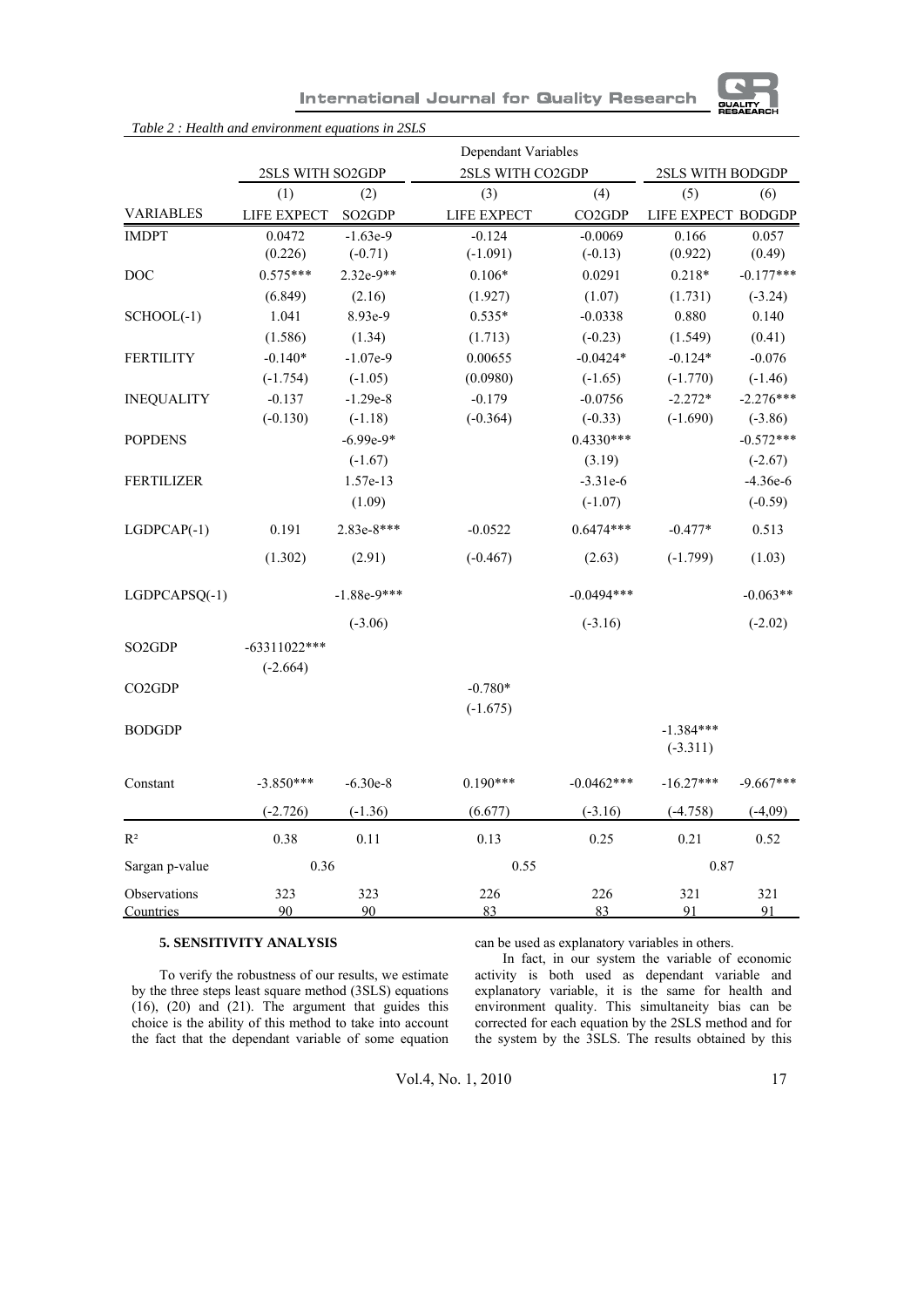

| <b>International Journal for Quality Research</b> |  |  |  |
|---------------------------------------------------|--|--|--|
|---------------------------------------------------|--|--|--|

|                                 |                         |                                 | Dependant Variables |              |                           |             |
|---------------------------------|-------------------------|---------------------------------|---------------------|--------------|---------------------------|-------------|
|                                 | <b>2SLS WITH SO2GDP</b> |                                 | 2SLS WITH CO2GDP    |              | <b>2SLS WITH BODGDP</b>   |             |
|                                 | (1)                     | (2)                             | (3)                 | (4)          | (5)                       | (6)         |
| <b>VARIABLES</b>                | LIFE EXPECT             | SO <sub>2</sub> G <sub>DP</sub> | LIFE EXPECT         | CO2GDP       | LIFE EXPECT BODGDP        |             |
| <b>IMDPT</b>                    | 0.0472                  | $-1.63e-9$                      | $-0.124$            | $-0.0069$    | 0.166                     | 0.057       |
|                                 | (0.226)                 | $(-0.71)$                       | $(-1.091)$          | $(-0.13)$    | (0.922)                   | (0.49)      |
| DOC                             | $0.575***$              | $2.32e-9**$                     | $0.106*$            | 0.0291       | $0.218*$                  | $-0.177***$ |
|                                 | (6.849)                 | (2.16)                          | (1.927)             | (1.07)       | (1.731)                   | $(-3.24)$   |
| $SCHOOL(-1)$                    | 1.041                   | 8.93e-9                         | $0.535*$            | $-0.0338$    | 0.880                     | 0.140       |
|                                 | (1.586)                 | (1.34)                          | (1.713)             | $(-0.23)$    | (1.549)                   | (0.41)      |
| <b>FERTILITY</b>                | $-0.140*$               | $-1.07e-9$                      | 0.00655             | $-0.0424*$   | $-0.124*$                 | $-0.076$    |
|                                 | $(-1.754)$              | $(-1.05)$                       | (0.0980)            | $(-1.65)$    | $(-1.770)$                | $(-1.46)$   |
| <b>INEQUALITY</b>               | $-0.137$                | $-1.29e-8$                      | $-0.179$            | $-0.0756$    | $-2.272*$                 | $-2.276***$ |
|                                 | $(-0.130)$              | $(-1.18)$                       | $(-0.364)$          | $(-0.33)$    | $(-1.690)$                | $(-3.86)$   |
| <b>POPDENS</b>                  |                         | $-6.99e-9*$                     |                     | $0.4330***$  |                           | $-0.572***$ |
|                                 |                         | $(-1.67)$                       |                     | (3.19)       |                           | $(-2.67)$   |
| <b>FERTILIZER</b>               |                         | 1.57e-13                        |                     | $-3.31e-6$   |                           | $-4.36e-6$  |
|                                 |                         | (1.09)                          |                     | $(-1.07)$    |                           | $(-0.59)$   |
| $LGDPCAP(-1)$                   | 0.191                   | $2.83e-8***$                    | $-0.0522$           | $0.6474***$  | $-0.477*$                 | 0.513       |
|                                 | (1.302)                 | (2.91)                          | $(-0.467)$          | (2.63)       | $(-1.799)$                | (1.03)      |
| $LGDPCAPSQ(-1)$                 |                         | $-1.88e-9***$                   |                     | $-0.0494***$ |                           | $-0.063**$  |
|                                 |                         | $(-3.06)$                       |                     | $(-3.16)$    |                           | $(-2.02)$   |
| SO <sub>2</sub> G <sub>DP</sub> | $-63311022***$          |                                 |                     |              |                           |             |
|                                 | $(-2.664)$              |                                 |                     |              |                           |             |
| CO <sub>2</sub> G <sub>DP</sub> |                         |                                 | $-0.780*$           |              |                           |             |
|                                 |                         |                                 | $(-1.675)$          |              |                           |             |
| <b>BODGDP</b>                   |                         |                                 |                     |              | $-1.384***$<br>$(-3.311)$ |             |
| Constant                        | $-3.850***$             | $-6.30e-8$                      | $0.190***$          | $-0.0462***$ | $-16.27***$               | $-9.667***$ |
|                                 | $(-2.726)$              | $(-1.36)$                       | (6.677)             | $(-3.16)$    | $(-4.758)$                | $(-4,09)$   |
| $R^2$                           | 0.38                    | 0.11                            | 0.13                | 0.25         | 0.21                      | 0.52        |
| Sargan p-value                  | 0.36                    |                                 | 0.55                |              | 0.87                      |             |
| Observations<br>Countries       | 323<br>90               | 323<br>90                       | 226<br>83           | 226<br>83    | 321<br>91                 | 321<br>91   |

## **5. SENSITIVITY ANALYSIS**

To verify the robustness of our results, we estimate by the three steps least square method (3SLS) equations (16), (20) and (21). The argument that guides this choice is the ability of this method to take into account the fact that the dependant variable of some equation

*Table 2 : Health and environment equations in 2SLS*

can be used as explanatory variables in others.

In fact, in our system the variable of economic activity is both used as dependant variable and explanatory variable, it is the same for health and environment quality. This simultaneity bias can be corrected for each equation by the 2SLS method and for the system by the 3SLS. The results obtained by this

Vol.4, No. 1, 2010 17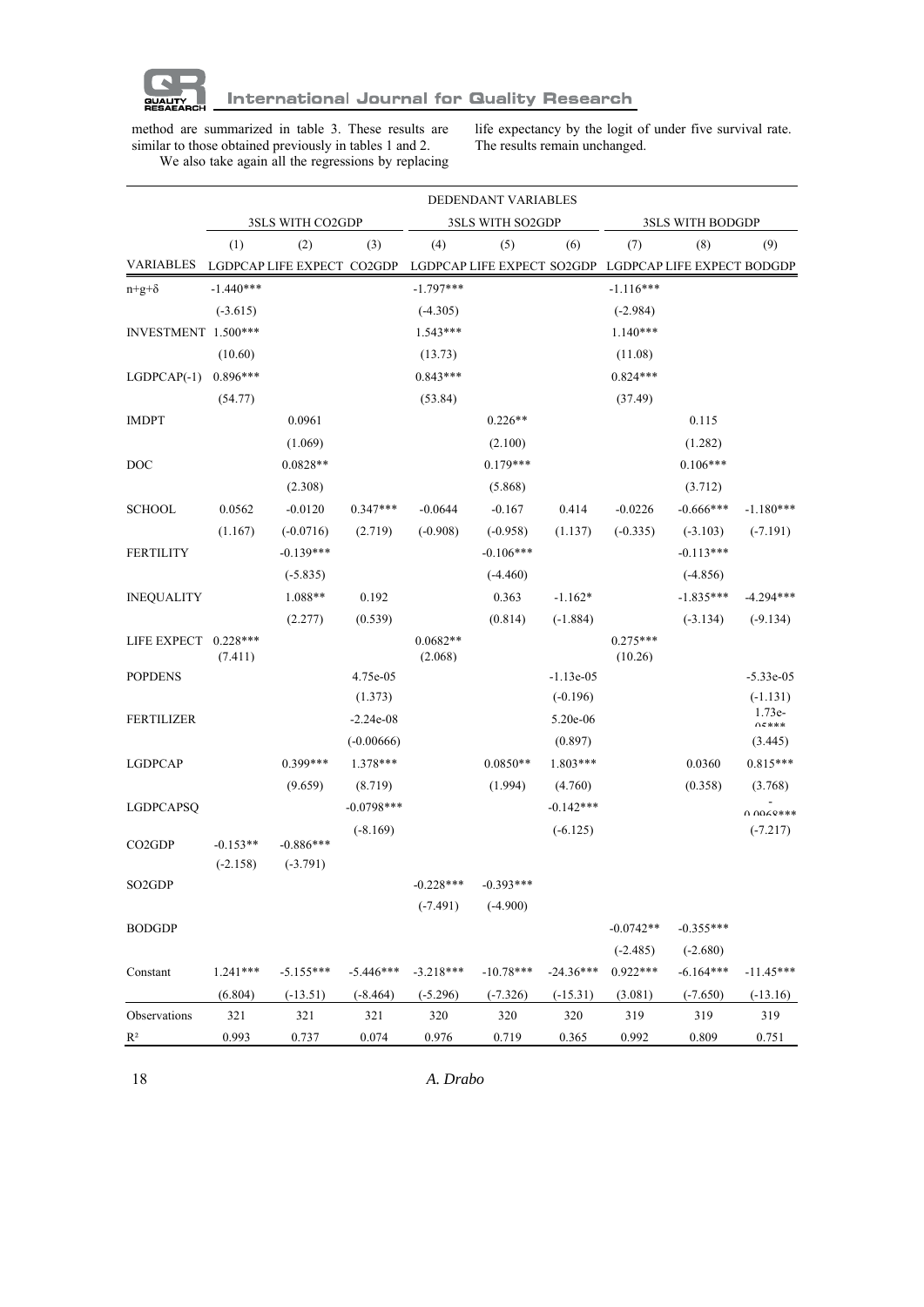

method are summarized in table 3. These results are similar to those obtained previously in tables 1 and 2. We also take again all the regressions by replacing life expectancy by the logit of under five survival rate. The results remain unchanged.

|                      |                          |                            |              |                       | DEDENDANT VARIABLES |             |                       |                                                       |                                   |
|----------------------|--------------------------|----------------------------|--------------|-----------------------|---------------------|-------------|-----------------------|-------------------------------------------------------|-----------------------------------|
|                      |                          | 3SLS WITH CO2GDP           |              |                       | 3SLS WITH SO2GDP    |             |                       | 3SLS WITH BODGDP                                      |                                   |
|                      | (1)                      | (2)                        | (3)          | (4)                   | (5)                 | (6)         | (7)                   | (8)                                                   | (9)                               |
| <b>VARIABLES</b>     |                          | LGDPCAP LIFE EXPECT CO2GDP |              |                       |                     |             |                       | LGDPCAP LIFE EXPECT SO2GDP LGDPCAP LIFE EXPECT BODGDP |                                   |
| $n+g+\delta$         | $-1.440***$              |                            |              | $-1.797***$           |                     |             | $-1.116***$           |                                                       |                                   |
|                      | $(-3.615)$               |                            |              | $(-4.305)$            |                     |             | $(-2.984)$            |                                                       |                                   |
| INVESTMENT 1.500***  |                          |                            |              | $1.543***$            |                     |             | $1.140***$            |                                                       |                                   |
|                      | (10.60)                  |                            |              | (13.73)               |                     |             | (11.08)               |                                                       |                                   |
| $LGDPCAP(-1)$        | $0.896***$               |                            |              | $0.843***$            |                     |             | $0.824***$            |                                                       |                                   |
|                      | (54.77)                  |                            |              | (53.84)               |                     |             | (37.49)               |                                                       |                                   |
| <b>IMDPT</b>         |                          | 0.0961                     |              |                       | $0.226**$           |             |                       | 0.115                                                 |                                   |
|                      |                          | (1.069)                    |              |                       | (2.100)             |             |                       | (1.282)                                               |                                   |
| DOC                  |                          | $0.0828**$                 |              |                       | $0.179***$          |             |                       | $0.106***$                                            |                                   |
|                      |                          | (2.308)                    |              |                       | (5.868)             |             |                       | (3.712)                                               |                                   |
| <b>SCHOOL</b>        | 0.0562                   | $-0.0120$                  | $0.347***$   | $-0.0644$             | $-0.167$            | 0.414       | $-0.0226$             | $-0.666***$                                           | $-1.180***$                       |
|                      | (1.167)                  | $(-0.0716)$                | (2.719)      | $(-0.908)$            | $(-0.958)$          | (1.137)     | $(-0.335)$            | $(-3.103)$                                            | $(-7.191)$                        |
| FERTILITY            |                          | $-0.139***$                |              |                       | $-0.106***$         |             |                       | $-0.113***$                                           |                                   |
|                      |                          | $(-5.835)$                 |              |                       | $(-4.460)$          |             |                       | $(-4.856)$                                            |                                   |
| <b>INEQUALITY</b>    |                          | 1.088**                    | 0.192        |                       | 0.363               | $-1.162*$   |                       | $-1.835***$                                           | $-4.294***$                       |
|                      |                          | (2.277)                    | (0.539)      |                       | (0.814)             | $(-1.884)$  |                       | $(-3.134)$                                            | $(-9.134)$                        |
| LIFE EXPECT 0.228*** | (7.411)                  |                            |              | $0.0682**$<br>(2.068) |                     |             | $0.275***$<br>(10.26) |                                                       |                                   |
| <b>POPDENS</b>       |                          |                            | 4.75e-05     |                       |                     | $-1.13e-05$ |                       |                                                       | $-5.33e-05$                       |
|                      |                          |                            | (1.373)      |                       |                     | $(-0.196)$  |                       |                                                       | $(-1.131)$                        |
| FERTILIZER           |                          |                            | $-2.24e-08$  |                       |                     | 5.20e-06    |                       |                                                       | $1.73e-$<br>$\Lambda$ $\zeta$ *** |
|                      |                          |                            | $(-0.00666)$ |                       |                     | (0.897)     |                       |                                                       | (3.445)                           |
| <b>LGDPCAP</b>       |                          | $0.399***$                 | 1.378***     |                       | $0.0850**$          | $1.803***$  |                       | 0.0360                                                | $0.815***$                        |
|                      |                          | (9.659)                    | (8.719)      |                       | (1.994)             | (4.760)     |                       | (0.358)                                               | (3.768)                           |
| <b>LGDPCAPSQ</b>     |                          |                            | $-0.0798***$ |                       |                     | $-0.142***$ |                       |                                                       | $0.000***$                        |
|                      |                          |                            | $(-8.169)$   |                       |                     | $(-6.125)$  |                       |                                                       | $(-7.217)$                        |
| CO <sub>2</sub> GDP  | $-0.153**$<br>$(-2.158)$ | $-0.886***$<br>$(-3.791)$  |              |                       |                     |             |                       |                                                       |                                   |
| SO2GDP               |                          |                            |              | $-0.228***$           | -0.393***           |             |                       |                                                       |                                   |
|                      |                          |                            |              | $(-7.491)$            | $(-4.900)$          |             |                       |                                                       |                                   |
| <b>BODGDP</b>        |                          |                            |              |                       |                     |             | $-0.0742**$           | $-0.355***$                                           |                                   |
|                      |                          |                            |              |                       |                     |             | $(-2.485)$            | $(-2.680)$                                            |                                   |
| Constant             | $1.241***$               | $-5.155***$                | $-5.446***$  | $-3.218***$           | $-10.78***$         | $-24.36***$ | $0.922***$            | $-6.164***$                                           | $-11.45***$                       |
|                      | (6.804)                  | $(-13.51)$                 | $(-8.464)$   | $(-5.296)$            | $(-7.326)$          | $(-15.31)$  | (3.081)               | $(-7.650)$                                            | $(-13.16)$                        |
| Observations         | 321                      | 321                        | 321          | 320                   | 320                 | 320         | 319                   | 319                                                   | 319                               |
| $\mathbb{R}^2$       | 0.993                    | 0.737                      | 0.074        | 0.976                 | 0.719               | 0.365       | 0.992                 | 0.809                                                 | 0.751                             |
|                      |                          |                            |              |                       |                     |             |                       |                                                       |                                   |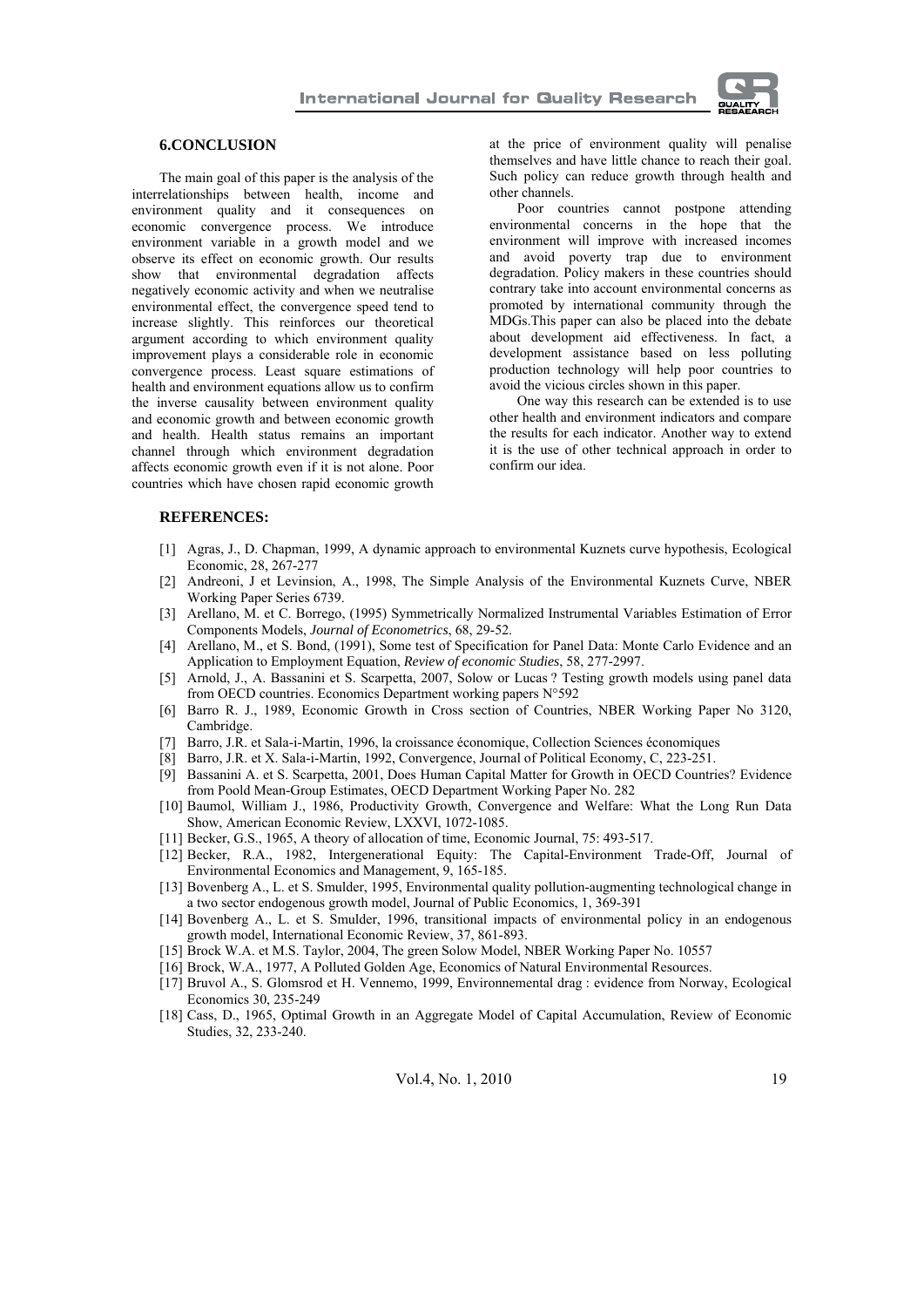

## **6.CONCLUSION**

The main goal of this paper is the analysis of the interrelationships between health, income and environment quality and it consequences on economic convergence process. We introduce environment variable in a growth model and we observe its effect on economic growth. Our results show that environmental degradation affects negatively economic activity and when we neutralise environmental effect, the convergence speed tend to increase slightly. This reinforces our theoretical argument according to which environment quality improvement plays a considerable role in economic convergence process. Least square estimations of health and environment equations allow us to confirm the inverse causality between environment quality and economic growth and between economic growth and health. Health status remains an important channel through which environment degradation affects economic growth even if it is not alone. Poor countries which have chosen rapid economic growth

at the price of environment quality will penalise themselves and have little chance to reach their goal. Such policy can reduce growth through health and other channels.

Poor countries cannot postpone attending environmental concerns in the hope that the environment will improve with increased incomes and avoid poverty trap due to environment degradation. Policy makers in these countries should contrary take into account environmental concerns as promoted by international community through the MDGs.This paper can also be placed into the debate about development aid effectiveness. In fact, a development assistance based on less polluting production technology will help poor countries to avoid the vicious circles shown in this paper.

One way this research can be extended is to use other health and environment indicators and compare the results for each indicator. Another way to extend it is the use of other technical approach in order to confirm our idea.

#### **REFERENCES:**

- [1] Agras, J., D. Chapman, 1999, A dynamic approach to environmental Kuznets curve hypothesis, Ecological Economic, 28, 267-277
- [2] Andreoni, J et Levinsion, A., 1998, The Simple Analysis of the Environmental Kuznets Curve, NBER Working Paper Series 6739.
- [3] Arellano, M. et C. Borrego, (1995) Symmetrically Normalized Instrumental Variables Estimation of Error Components Models, *Journal of Econometrics*, 68, 29-52.
- [4] Arellano, M., et S. Bond, (1991), Some test of Specification for Panel Data: Monte Carlo Evidence and an Application to Employment Equation, *Review of economic Studies*, 58, 277-2997.
- [5] Arnold, J., A. Bassanini et S. Scarpetta, 2007, Solow or Lucas ? Testing growth models using panel data from OECD countries. Economics Department working papers N°592
- [6] Barro R. J., 1989, Economic Growth in Cross section of Countries, NBER Working Paper No 3120, Cambridge.
- [7] Barro, J.R. et Sala-i-Martin, 1996, la croissance économique, Collection Sciences économiques
- [8] Barro, J.R. et X. Sala-i-Martin, 1992, Convergence, Journal of Political Economy, C, 223-251.
- [9] Bassanini A. et S. Scarpetta, 2001, Does Human Capital Matter for Growth in OECD Countries? Evidence
- from Poold Mean-Group Estimates, OECD Department Working Paper No. 282 [10] Baumol, William J., 1986, Productivity Growth, Convergence and Welfare: What the Long Run Data Show, American Economic Review, LXXVI, 1072-1085.
- [11] Becker, G.S., 1965, A theory of allocation of time, Economic Journal, 75: 493-517.
- [12] Becker, R.A., 1982, Intergenerational Equity: The Capital-Environment Trade-Off, Journal of Environmental Economics and Management, 9, 165-185.
- [13] Bovenberg A., L. et S. Smulder, 1995, Environmental quality pollution-augmenting technological change in a two sector endogenous growth model, Journal of Public Economics, 1, 369-391
- [14] Bovenberg A., L. et S. Smulder, 1996, transitional impacts of environmental policy in an endogenous growth model, International Economic Review, 37, 861-893.
- [15] Brock W.A. et M.S. Taylor, 2004, The green Solow Model, NBER Working Paper No. 10557
- [16] Brock, W.A., 1977, A Polluted Golden Age, Economics of Natural Environmental Resources.
- [17] Bruvol A., S. Glomsrod et H. Vennemo, 1999, Environnemental drag : evidence from Norway, Ecological Economics 30, 235-249
- [18] Cass, D., 1965, Optimal Growth in an Aggregate Model of Capital Accumulation, Review of Economic Studies, 32, 233-240.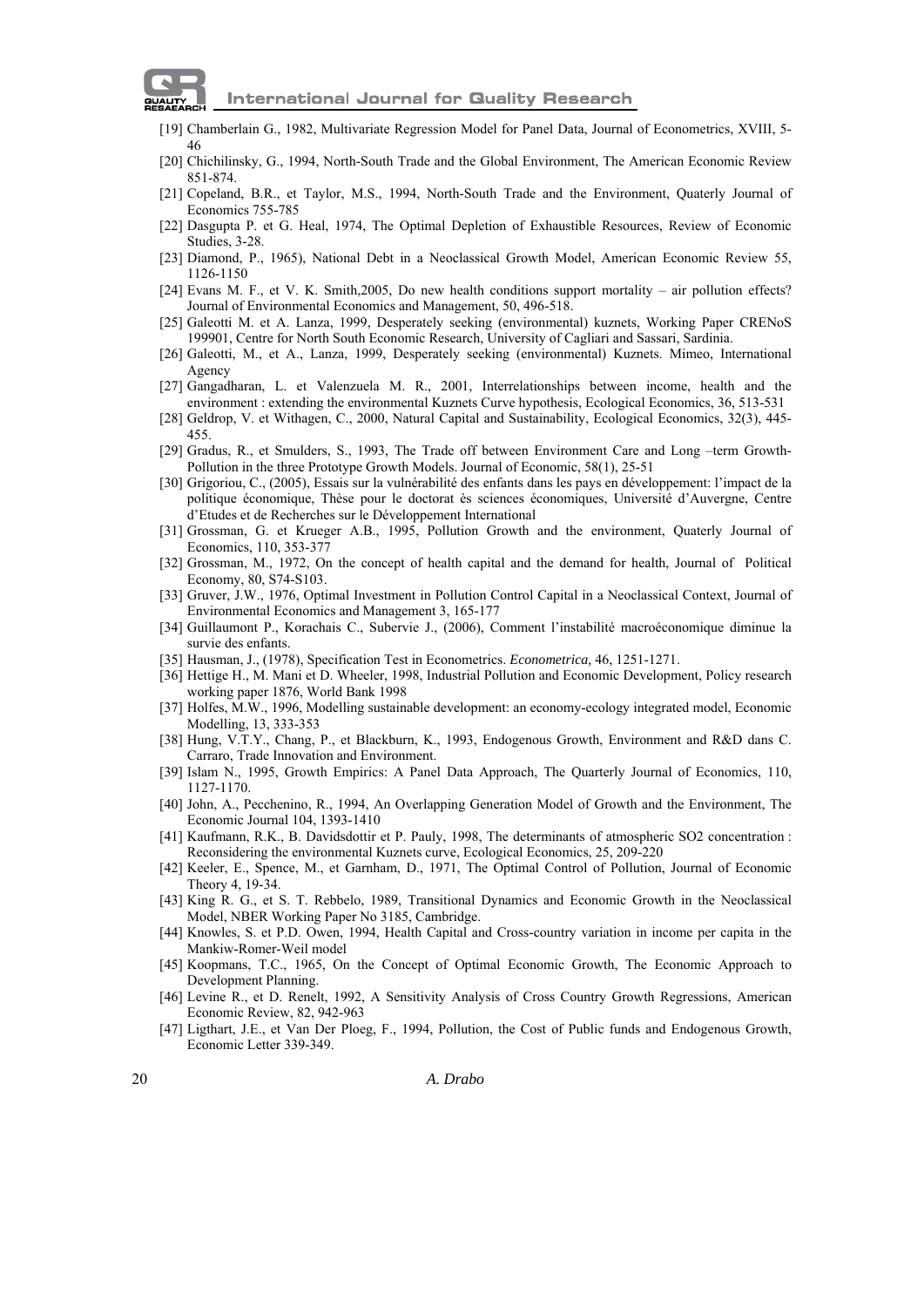

- [19] Chamberlain G., 1982, Multivariate Regression Model for Panel Data, Journal of Econometrics, XVIII, 5- 46
- [20] Chichilinsky, G., 1994, North-South Trade and the Global Environment, The American Economic Review 851-874.
- [21] Copeland, B.R., et Taylor, M.S., 1994, North-South Trade and the Environment, Quaterly Journal of Economics 755-785
- [22] Dasgupta P. et G. Heal, 1974, The Optimal Depletion of Exhaustible Resources, Review of Economic Studies, 3-28.
- [23] Diamond, P., 1965), National Debt in a Neoclassical Growth Model, American Economic Review 55, 1126-1150
- [24] Evans M. F., et V. K. Smith,2005, Do new health conditions support mortality air pollution effects? Journal of Environmental Economics and Management, 50, 496-518.
- [25] Galeotti M. et A. Lanza, 1999, Desperately seeking (environmental) kuznets, Working Paper CRENoS 199901, Centre for North South Economic Research, University of Cagliari and Sassari, Sardinia.
- [26] Galeotti, M., et A., Lanza, 1999, Desperately seeking (environmental) Kuznets. Mimeo, International **A**gency
- [27] Gangadharan, L. et Valenzuela M. R., 2001, Interrelationships between income, health and the environment : extending the environmental Kuznets Curve hypothesis, Ecological Economics, 36, 513-531
- [28] Geldrop, V. et Withagen, C., 2000, Natural Capital and Sustainability, Ecological Economics, 32(3), 445- 455.
- [29] Gradus, R., et Smulders, S., 1993, The Trade off between Environment Care and Long –term Growth-Pollution in the three Prototype Growth Models. Journal of Economic, 58(1), 25-51
- [30] Grigoriou, C., (2005), Essais sur la vulnérabilité des enfants dans les pays en développement: l'impact de la politique économique, Thèse pour le doctorat ès sciences économiques, Université d'Auvergne, Centre d'Etudes et de Recherches sur le Développement International
- [31] Grossman, G. et Krueger A.B., 1995, Pollution Growth and the environment, Quaterly Journal of Economics, 110, 353-377
- [32] Grossman, M., 1972, On the concept of health capital and the demand for health, Journal of Political Economy, 80, S74-S103.
- [33] Gruver, J.W., 1976, Optimal Investment in Pollution Control Capital in a Neoclassical Context, Journal of Environmental Economics and Management 3, 165-177
- [34] Guillaumont P., Korachais C., Subervie J., (2006), Comment l'instabilité macroéconomique diminue la survie des enfants.
- [35] Hausman, J., (1978), Specification Test in Econometrics. *Econometrica,* 46, 1251-1271.
- [36] Hettige H., M. Mani et D. Wheeler, 1998, Industrial Pollution and Economic Development, Policy research working paper 1876, World Bank 1998
- [37] Holfes, M.W., 1996, Modelling sustainable development: an economy-ecology integrated model, Economic Modelling, 13, 333-353
- [38] Hung, V.T.Y., Chang, P., et Blackburn, K., 1993, Endogenous Growth, Environment and R&D dans C. Carraro, Trade Innovation and Environment.
- [39] Islam N., 1995, Growth Empirics: A Panel Data Approach, The Quarterly Journal of Economics, 110, 1127-1170.
- [40] John, A., Pecchenino, R., 1994, An Overlapping Generation Model of Growth and the Environment, The Economic Journal 104, 1393-1410
- [41] Kaufmann, R.K., B. Davidsdottir et P. Pauly, 1998, The determinants of atmospheric SO2 concentration : Reconsidering the environmental Kuznets curve, Ecological Economics, 25, 209-220
- [42] Keeler, E., Spence, M., et Garnham, D., 1971, The Optimal Control of Pollution, Journal of Economic Theory 4, 19-34.
- [43] King R. G., et S. T. Rebbelo, 1989, Transitional Dynamics and Economic Growth in the Neoclassical Model, NBER Working Paper No 3185, Cambridge.
- [44] Knowles, S. et P.D. Owen, 1994, Health Capital and Cross-country variation in income per capita in the Mankiw-Romer-Weil model
- [45] Koopmans, T.C., 1965, On the Concept of Optimal Economic Growth, The Economic Approach to Development Planning.
- [46] Levine R., et D. Renelt, 1992, A Sensitivity Analysis of Cross Country Growth Regressions, American Economic Review, 82, 942-963
- [47] Ligthart, J.E., et Van Der Ploeg, F., 1994, Pollution, the Cost of Public funds and Endogenous Growth, Economic Letter 339-349.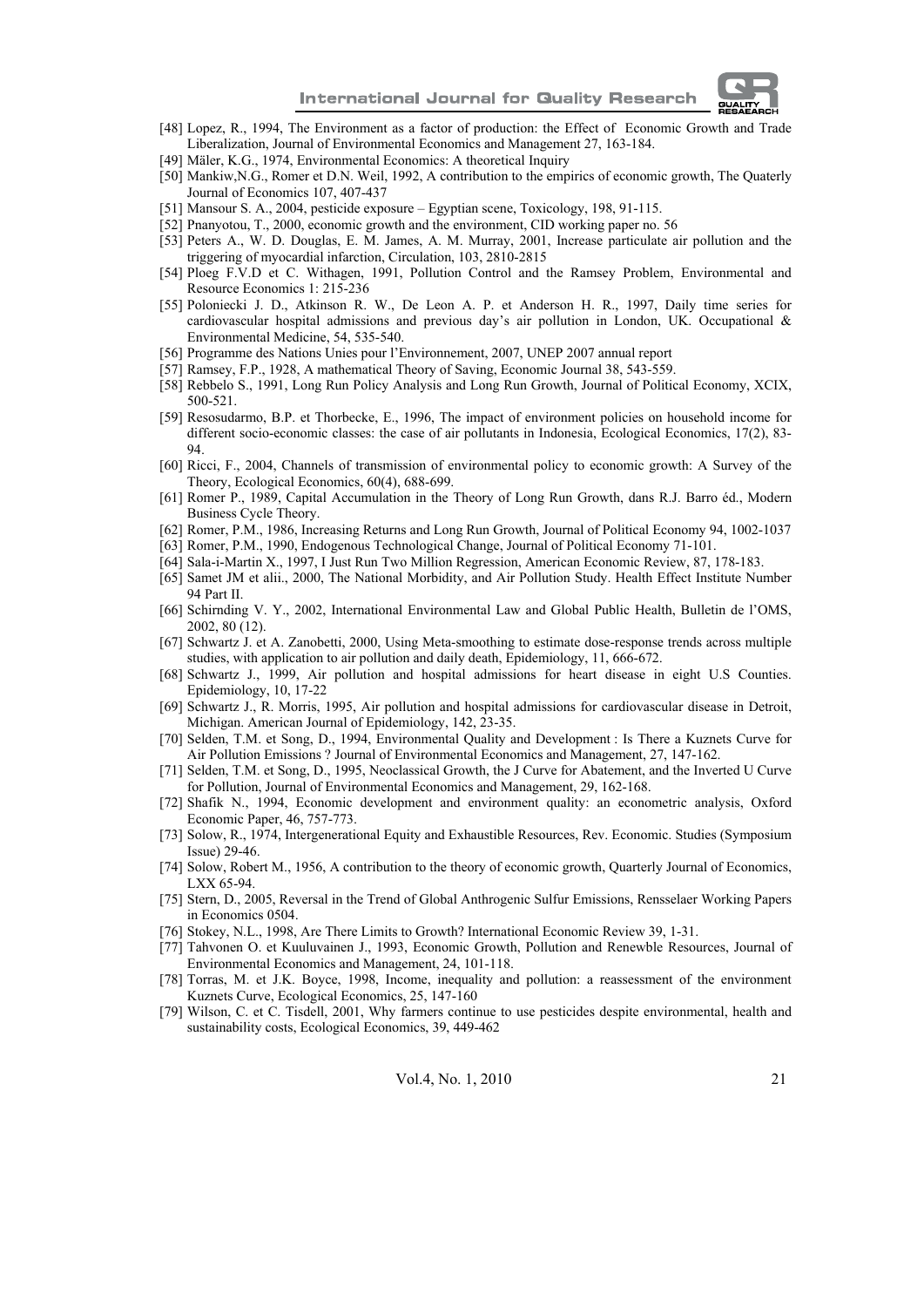

- [48] Lopez, R., 1994, The Environment as a factor of production: the Effect of Economic Growth and Trade Liberalization, Journal of Environmental Economics and Management 27, 163-184.
- [49] Mäler, K.G., 1974, Environmental Economics: A theoretical Inquiry
- [50] Mankiw,N.G., Romer et D.N. Weil, 1992, A contribution to the empirics of economic growth, The Quaterly Journal of Economics 107, 407-437
- [51] Mansour S. A., 2004, pesticide exposure Egyptian scene, Toxicology, 198, 91-115.
- [52] Pnanyotou, T., 2000, economic growth and the environment, CID working paper no. 56
- [53] Peters A., W. D. Douglas, E. M. James, A. M. Murray, 2001, Increase particulate air pollution and the triggering of myocardial infarction, Circulation, 103, 2810-2815
- [54] Ploeg F.V.D et C. Withagen, 1991, Pollution Control and the Ramsey Problem, Environmental and Resource Economics 1: 215-236
- [55] Poloniecki J. D., Atkinson R. W., De Leon A. P. et Anderson H. R., 1997, Daily time series for cardiovascular hospital admissions and previous day's air pollution in London, UK. Occupational & Environmental Medicine, 54, 535-540.
- [56] Programme des Nations Unies pour l'Environnement, 2007, UNEP 2007 annual report
- [57] Ramsey, F.P., 1928, A mathematical Theory of Saving, Economic Journal 38, 543-559.
- [58] Rebbelo S., 1991, Long Run Policy Analysis and Long Run Growth, Journal of Political Economy, XCIX, 500-521.
- [59] Resosudarmo, B.P. et Thorbecke, E., 1996, The impact of environment policies on household income for different socio-economic classes: the case of air pollutants in Indonesia, Ecological Economics, 17(2), 83- 94.
- [60] Ricci, F., 2004, Channels of transmission of environmental policy to economic growth: A Survey of the Theory, Ecological Economics, 60(4), 688-699.
- [61] Romer P., 1989, Capital Accumulation in the Theory of Long Run Growth, dans R.J. Barro éd., Modern Business Cycle Theory.
- [62] Romer, P.M., 1986, Increasing Returns and Long Run Growth, Journal of Political Economy 94, 1002-1037
- [63] Romer, P.M., 1990, Endogenous Technological Change, Journal of Political Economy 71-101.
- [64] Sala-i-Martin X., 1997, I Just Run Two Million Regression, American Economic Review, 87, 178-183.
- [65] Samet JM et alii., 2000, The National Morbidity, and Air Pollution Study. Health Effect Institute Number 94 Part II.
- [66] Schirnding V. Y., 2002, International Environmental Law and Global Public Health, Bulletin de l'OMS, 2002, 80 (12).
- [67] Schwartz J. et A. Zanobetti, 2000, Using Meta-smoothing to estimate dose-response trends across multiple studies, with application to air pollution and daily death, Epidemiology, 11, 666-672.
- [68] Schwartz J., 1999, Air pollution and hospital admissions for heart disease in eight U.S Counties. Epidemiology, 10, 17-22
- [69] Schwartz J., R. Morris, 1995, Air pollution and hospital admissions for cardiovascular disease in Detroit, Michigan. American Journal of Epidemiology, 142, 23-35.
- [70] Selden, T.M. et Song, D., 1994, Environmental Quality and Development : Is There a Kuznets Curve for Air Pollution Emissions ? Journal of Environmental Economics and Management, 27, 147-162.
- [71] Selden, T.M. et Song, D., 1995, Neoclassical Growth, the J Curve for Abatement, and the Inverted U Curve for Pollution, Journal of Environmental Economics and Management, 29, 162-168.
- [72] Shafik N., 1994, Economic development and environment quality: an econometric analysis, Oxford Economic Paper, 46, 757-773.
- [73] Solow, R., 1974, Intergenerational Equity and Exhaustible Resources, Rev. Economic. Studies (Symposium Issue) 29-46.
- [74] Solow, Robert M., 1956, A contribution to the theory of economic growth, Quarterly Journal of Economics, LXX 65-94.
- [75] Stern, D., 2005, Reversal in the Trend of Global Anthrogenic Sulfur Emissions, Rensselaer Working Papers in Economics 0504.
- [76] Stokey, N.L., 1998, Are There Limits to Growth? International Economic Review 39, 1-31.
- [77] Tahvonen O. et Kuuluvainen J., 1993, Economic Growth, Pollution and Renewble Resources, Journal of Environmental Economics and Management, 24, 101-118.
- [78] Torras, M. et J.K. Boyce, 1998, Income, inequality and pollution: a reassessment of the environment Kuznets Curve, Ecological Economics, 25, 147-160
- [79] Wilson, C. et C. Tisdell, 2001, Why farmers continue to use pesticides despite environmental, health and sustainability costs, Ecological Economics, 39, 449-462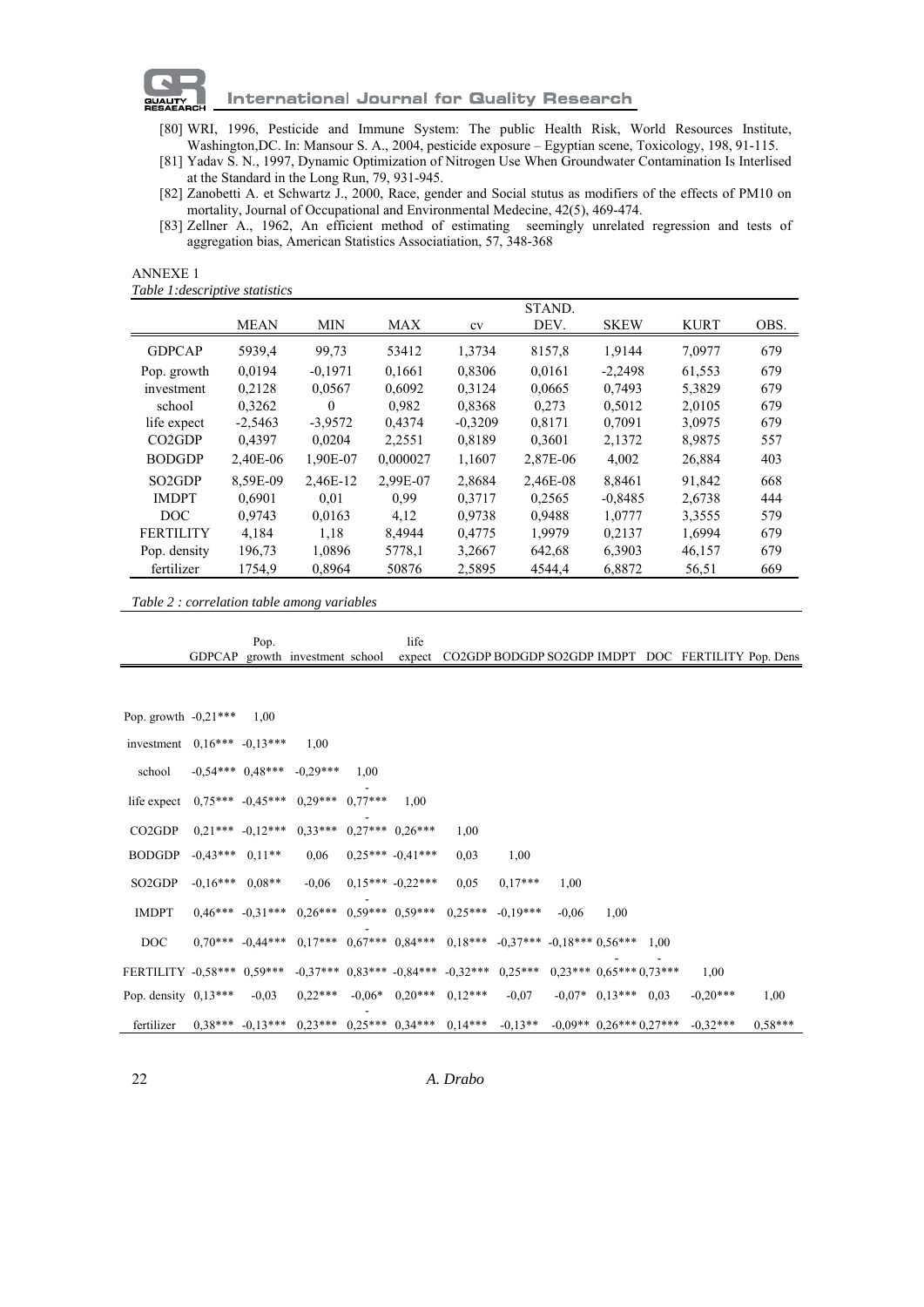

- [80] WRI, 1996, Pesticide and Immune System: The public Health Risk, World Resources Institute, Washington,DC. In: Mansour S. A., 2004, pesticide exposure – Egyptian scene, Toxicology, 198, 91-115.
- [81] Yadav S. N., 1997, Dynamic Optimization of Nitrogen Use When Groundwater Contamination Is Interlised at the Standard in the Long Run, 79, 931-945.
- [82] Zanobetti A. et Schwartz J., 2000, Race, gender and Social stutus as modifiers of the effects of PM10 on mortality, Journal of Occupational and Environmental Medecine, 42(5), 469-474.
- [83] Zellner A., 1962, An efficient method of estimating seemingly unrelated regression and tests of aggregation bias, American Statistics Associatiation, 57, 348-368

| <b>ANNEXE 1</b>                 |
|---------------------------------|
| Table 1: descriptive statistics |

|                                 |             |            |            |           | STAND.   |             |             |      |
|---------------------------------|-------------|------------|------------|-----------|----------|-------------|-------------|------|
|                                 | <b>MEAN</b> | <b>MIN</b> | <b>MAX</b> | cv        | DEV.     | <b>SKEW</b> | <b>KURT</b> | OBS. |
| <b>GDPCAP</b>                   | 5939,4      | 99,73      | 53412      | 1,3734    | 8157,8   | 1,9144      | 7,0977      | 679  |
| Pop. growth                     | 0.0194      | $-0.1971$  | 0.1661     | 0.8306    | 0.0161   | $-2.2498$   | 61,553      | 679  |
| investment                      | 0,2128      | 0,0567     | 0,6092     | 0.3124    | 0,0665   | 0.7493      | 5,3829      | 679  |
| school                          | 0.3262      | $\theta$   | 0.982      | 0.8368    | 0.273    | 0.5012      | 2,0105      | 679  |
| life expect                     | $-2,5463$   | $-3,9572$  | 0,4374     | $-0,3209$ | 0.8171   | 0,7091      | 3,0975      | 679  |
| CO <sub>2</sub> G <sub>DP</sub> | 0,4397      | 0,0204     | 2,2551     | 0,8189    | 0,3601   | 2,1372      | 8,9875      | 557  |
| <b>BODGDP</b>                   | 2.40E-06    | 1.90E-07   | 0.000027   | 1,1607    | 2,87E-06 | 4,002       | 26,884      | 403  |
| SO <sub>2</sub> G <sub>DP</sub> | 8.59E-09    | 2,46E-12   | 2,99E-07   | 2,8684    | 2,46E-08 | 8,8461      | 91,842      | 668  |
| <b>IMDPT</b>                    | 0.6901      | 0.01       | 0.99       | 0.3717    | 0.2565   | $-0,8485$   | 2,6738      | 444  |
| DOC                             | 0.9743      | 0.0163     | 4,12       | 0.9738    | 0.9488   | 1,0777      | 3,3555      | 579  |
| <b>FERTILITY</b>                | 4,184       | 1,18       | 8,4944     | 0,4775    | 1,9979   | 0,2137      | 1,6994      | 679  |
| Pop. density                    | 196,73      | 1,0896     | 5778,1     | 3,2667    | 642,68   | 6,3903      | 46,157      | 679  |
| fertilizer                      | 1754,9      | 0,8964     | 50876      | 2,5895    | 4544,4   | 6,8872      | 56,51       | 669  |

*Table 2 : correlation table among variables* 

|                                                                                               |                     | Pop.                 |                                                                                              |      | life                 |                                        |           |         |                       |      |                                                                                                                 |           |
|-----------------------------------------------------------------------------------------------|---------------------|----------------------|----------------------------------------------------------------------------------------------|------|----------------------|----------------------------------------|-----------|---------|-----------------------|------|-----------------------------------------------------------------------------------------------------------------|-----------|
|                                                                                               |                     |                      | GDPCAP growth investment school                                                              |      |                      |                                        |           |         |                       |      | expect CO2GDP BODGDP SO2GDP IMDPT DOC FERTILITY Pop. Dens                                                       |           |
|                                                                                               |                     |                      |                                                                                              |      |                      |                                        |           |         |                       |      |                                                                                                                 |           |
| Pop. growth $-0,21***$                                                                        |                     | 1,00                 |                                                                                              |      |                      |                                        |           |         |                       |      |                                                                                                                 |           |
| investment $0,16***$ -0,13***                                                                 |                     |                      | 1,00                                                                                         |      |                      |                                        |           |         |                       |      |                                                                                                                 |           |
| school                                                                                        |                     |                      | $-0.54***$ $0.48***$ $-0.29***$                                                              | 1.00 |                      |                                        |           |         |                       |      |                                                                                                                 |           |
| life expect                                                                                   |                     | $0.75***$ $-0.45***$ | $0,29***$ $0,77***$                                                                          |      | 1.00                 |                                        |           |         |                       |      |                                                                                                                 |           |
| CO2GDP                                                                                        |                     |                      | $0.21***$ $-0.12***$ $0.33***$ $0.27***$ $0.26***$                                           |      |                      | 1,00                                   |           |         |                       |      |                                                                                                                 |           |
| <b>BODGDP</b>                                                                                 | $-0.43***$ 0.11**   |                      | 0,06                                                                                         |      | $0.25***-0.41***$    | 0,03                                   | 1,00      |         |                       |      |                                                                                                                 |           |
| SO <sub>2</sub> GDP                                                                           | $-0.16***$ $0.08**$ |                      | $-0,06$                                                                                      |      | $0.15***$ $-0.22***$ | 0.05                                   | $0.17***$ | 1,00    |                       |      |                                                                                                                 |           |
| <b>IMDPT</b>                                                                                  |                     | $0.46***$ $-0.31***$ | $0.26***$ $0.59***$ $0.59***$ $0.25***$ $-0.19***$                                           |      |                      |                                        |           | $-0.06$ | 1,00                  |      |                                                                                                                 |           |
| DOC                                                                                           |                     |                      | $0.70***$ $-0.44***$ $0.17***$ $0.67***$ $0.84***$ $0.18***$ $-0.37***$ $-0.18***$ $0.56***$ |      |                      |                                        |           |         |                       | 1,00 |                                                                                                                 |           |
| FERTILITY -0.58*** 0.59*** -0.37*** 0.83*** -0.84*** -0.32*** 0.25*** 0.23*** 0.65*** 0.73*** |                     |                      |                                                                                              |      |                      |                                        |           |         |                       |      | 1,00                                                                                                            |           |
| Pop. density $0,13***$                                                                        |                     | $-0,03$              |                                                                                              |      |                      | $0.22***$ $-0.06*$ $0.20***$ $0.12***$ | $-0.07$   |         | $-0.07*$ 0.13*** 0.03 |      | $-0.20***$                                                                                                      | 1,00      |
| fertilizer                                                                                    |                     |                      |                                                                                              |      |                      |                                        |           |         |                       |      | $0.13***$ $-0.13***$ $0.23***$ $0.25***$ $0.34***$ $0.14***$ $-0.13**$ $-0.09**$ $0.26***$ $0.27***$ $-0.32***$ | $0.58***$ |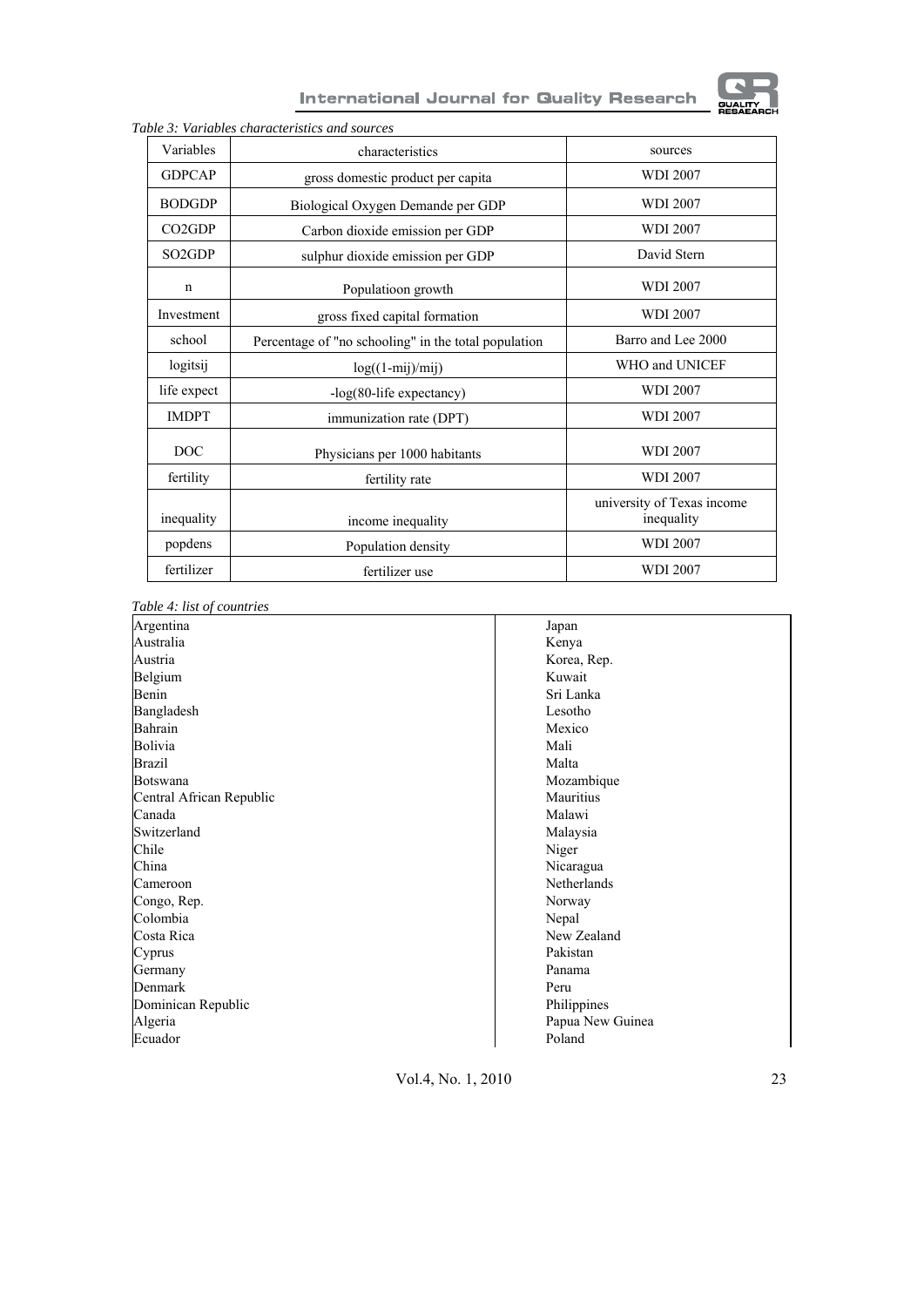

# International Journal for Quality Research

| Variables                       | characteristics                                      | sources                                  |
|---------------------------------|------------------------------------------------------|------------------------------------------|
| <b>GDPCAP</b>                   | gross domestic product per capita                    | <b>WDI 2007</b>                          |
| <b>BODGDP</b>                   | Biological Oxygen Demande per GDP                    | <b>WDI 2007</b>                          |
| CO <sub>2</sub> G <sub>DP</sub> | Carbon dioxide emission per GDP                      | <b>WDI 2007</b>                          |
| SO <sub>2</sub> GDP             | sulphur dioxide emission per GDP                     | David Stern                              |
| $\mathbf n$                     | Populatioon growth                                   | <b>WDI 2007</b>                          |
| Investment                      | gross fixed capital formation                        | <b>WDI 2007</b>                          |
| school                          | Percentage of "no schooling" in the total population | Barro and Lee 2000                       |
| logitsij                        | $log((1-mij)/mij)$                                   | WHO and UNICEF                           |
| life expect                     | -log(80-life expectancy)                             | <b>WDI 2007</b>                          |
| <b>IMDPT</b>                    | immunization rate (DPT)                              | <b>WDI 2007</b>                          |
| DOC                             | Physicians per 1000 habitants                        | <b>WDI 2007</b>                          |
| fertility                       | fertility rate                                       | <b>WDI 2007</b>                          |
| inequality                      | income inequality                                    | university of Texas income<br>inequality |
| popdens                         | Population density                                   | <b>WDI 2007</b>                          |
| fertilizer                      | fertilizer use                                       | <b>WDI 2007</b>                          |

*Table 3: Variables characteristics and sources*

*Table 4: list of countries* 

| Argentina                | Japan            |
|--------------------------|------------------|
| Australia                | Kenya            |
| Austria                  | Korea, Rep.      |
| Belgium                  | Kuwait           |
| Benin                    | Sri Lanka        |
| Bangladesh               | Lesotho          |
| Bahrain                  | Mexico           |
| Bolivia                  | Mali             |
| <b>Brazil</b>            | Malta            |
| Botswana                 | Mozambique       |
| Central African Republic | Mauritius        |
| Canada                   | Malawi           |
| Switzerland              | Malaysia         |
| Chile                    | Niger            |
| China                    | Nicaragua        |
| Cameroon                 | Netherlands      |
| Congo, Rep.              | Norway           |
| Colombia                 | Nepal            |
| Costa Rica               | New Zealand      |
| Cyprus                   | Pakistan         |
| Germany                  | Panama           |
| Denmark                  | Peru             |
| Dominican Republic       | Philippines      |
| Algeria                  | Papua New Guinea |
| Ecuador                  | Poland           |